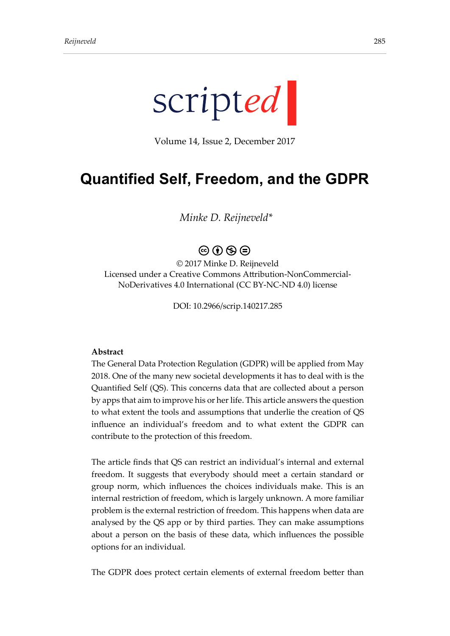

Volume 14, Issue 2, December 2017

# **Quantified Self, Freedom, and the GDPR**

*Minke D. Reijneveld\**

# $\circledcirc$   $\circledcirc$   $\circledcirc$

© 2017 Minke D. Reijneveld Licensed under a Creative Commons Attribution-NonCommercial-NoDerivatives 4.0 International (CC BY-NC-ND 4.0) license

DOI: 10.2966/scrip.140217.285

#### **Abstract**

The General Data Protection Regulation (GDPR) will be applied from May 2018. One of the many new societal developments it has to deal with is the Quantified Self (QS). This concerns data that are collected about a person by apps that aim to improve his or her life. This article answers the question to what extent the tools and assumptions that underlie the creation of QS influence an individual's freedom and to what extent the GDPR can contribute to the protection of this freedom.

The article finds that QS can restrict an individual's internal and external freedom. It suggests that everybody should meet a certain standard or group norm, which influences the choices individuals make. This is an internal restriction of freedom, which is largely unknown. A more familiar problem is the external restriction of freedom. This happens when data are analysed by the QS app or by third parties. They can make assumptions about a person on the basis of these data, which influences the possible options for an individual.

The GDPR does protect certain elements of external freedom better than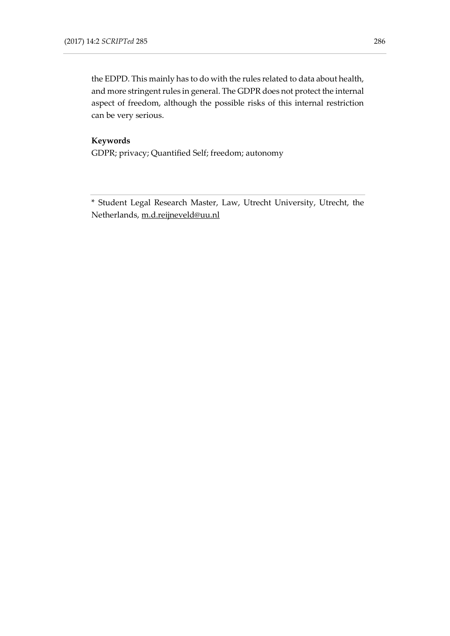the EDPD. This mainly has to do with the rules related to data about health, and more stringent rules in general. The GDPR does not protect the internal aspect of freedom, although the possible risks of this internal restriction can be very serious.

#### **Keywords**

GDPR; privacy; Quantified Self; freedom; autonomy

\* Student Legal Research Master, Law, Utrecht University, Utrecht, the Netherlands, [m.d.reijneveld@uu.nl](mailto:m.d.reijneveld@uu.nl)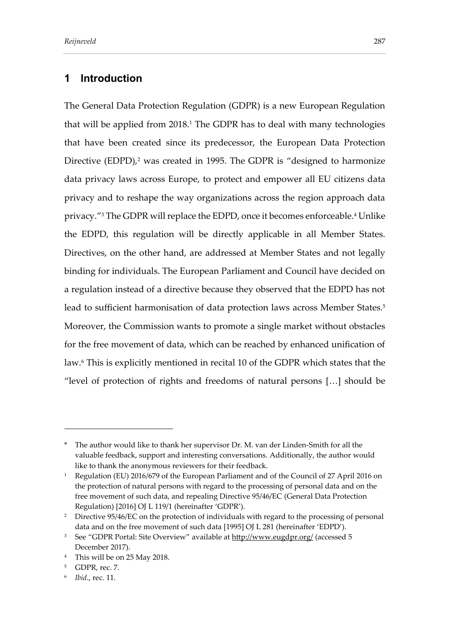# **1 Introduction**

The General Data Protection Regulation (GDPR) is a new European Regulation that will be applied from 2018.<sup>1</sup> The GDPR has to deal with many technologies that have been created since its predecessor, the European Data Protection Directive (EDPD),<sup>2</sup> was created in 1995. The GDPR is "designed to harmonize data privacy laws across Europe, to protect and empower all EU citizens data privacy and to reshape the way organizations across the region approach data privacy." <sup>3</sup> The GDPR will replace the EDPD, once it becomes enforceable.<sup>4</sup> Unlike the EDPD, this regulation will be directly applicable in all Member States. Directives, on the other hand, are addressed at Member States and not legally binding for individuals. The European Parliament and Council have decided on a regulation instead of a directive because they observed that the EDPD has not lead to sufficient harmonisation of data protection laws across Member States.<sup>5</sup> Moreover, the Commission wants to promote a single market without obstacles for the free movement of data, which can be reached by enhanced unification of law.<sup>6</sup> This is explicitly mentioned in recital 10 of the GDPR which states that the "level of protection of rights and freedoms of natural persons […] should be

The author would like to thank her supervisor Dr. M. van der Linden-Smith for all the valuable feedback, support and interesting conversations. Additionally, the author would like to thank the anonymous reviewers for their feedback.

<sup>&</sup>lt;sup>1</sup> Regulation (EU) 2016/679 of the European Parliament and of the Council of 27 April 2016 on the protection of natural persons with regard to the processing of personal data and on the free movement of such data, and repealing Directive 95/46/EC (General Data Protection Regulation) [2016] OJ L 119/1 (hereinafter 'GDPR').

<sup>&</sup>lt;sup>2</sup> Directive 95/46/EC on the protection of individuals with regard to the processing of personal data and on the free movement of such data [1995] OJ L 281 (hereinafter 'EDPD').

<sup>&</sup>lt;sup>3</sup> See "GDPR Portal: Site Overview" available at <http://www.eugdpr.org/> (accessed 5 December 2017).

<sup>4</sup> This will be on 25 May 2018.

<sup>5</sup> GDPR, rec. 7.

<sup>6</sup> *Ibid*., rec. 11.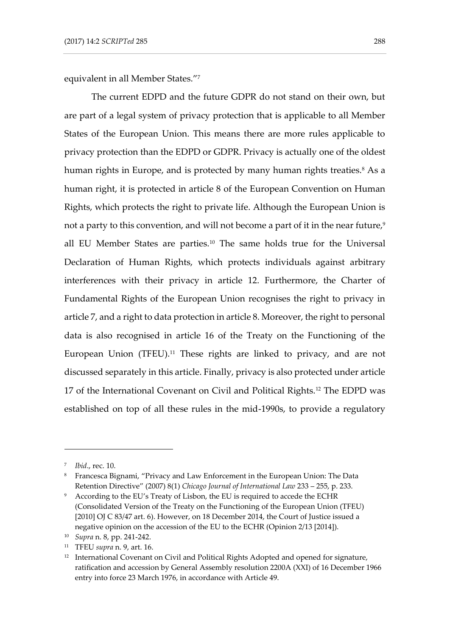equivalent in all Member States." 7

The current EDPD and the future GDPR do not stand on their own, but are part of a legal system of privacy protection that is applicable to all Member States of the European Union. This means there are more rules applicable to privacy protection than the EDPD or GDPR. Privacy is actually one of the oldest human rights in Europe, and is protected by many human rights treaties.<sup>8</sup> As a human right, it is protected in article 8 of the European Convention on Human Rights, which protects the right to private life. Although the European Union is not a party to this convention, and will not become a part of it in the near future,<sup>9</sup> all EU Member States are parties.<sup>10</sup> The same holds true for the Universal Declaration of Human Rights, which protects individuals against arbitrary interferences with their privacy in article 12. Furthermore, the Charter of Fundamental Rights of the European Union recognises the right to privacy in article 7, and a right to data protection in article 8. Moreover, the right to personal data is also recognised in article 16 of the Treaty on the Functioning of the European Union (TFEU).<sup>11</sup> These rights are linked to privacy, and are not discussed separately in this article. Finally, privacy is also protected under article 17 of the International Covenant on Civil and Political Rights.<sup>12</sup> The EDPD was established on top of all these rules in the mid-1990s, to provide a regulatory

<sup>7</sup> *Ibid*., rec. 10.

<sup>8</sup> Francesca Bignami, "Privacy and Law Enforcement in the European Union: The Data Retention Directive" (2007) 8(1) *Chicago Journal of International Law* 233 – 255, p. 233.

<sup>&</sup>lt;sup>9</sup> According to the EU's Treaty of Lisbon, the EU is required to accede the ECHR (Consolidated Version of the Treaty on the Functioning of the European Union (TFEU) [2010] OJ C 83/47 art. 6). However, on 18 December 2014, the Court of Justice issued a negative opinion on the accession of the EU to the ECHR (Opinion 2/13 [2014]).

<sup>10</sup> *Supra* n. 8, pp. 241-242.

<sup>11</sup> TFEU *supra* n. 9, art. 16.

<sup>&</sup>lt;sup>12</sup> International Covenant on Civil and Political Rights Adopted and opened for signature, ratification and accession by General Assembly resolution 2200A (XXI) of 16 December 1966 entry into force 23 March 1976, in accordance with Article 49.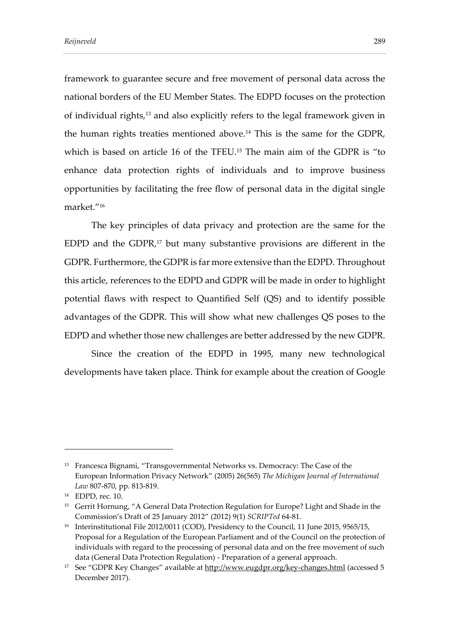framework to guarantee secure and free movement of personal data across the national borders of the EU Member States. The EDPD focuses on the protection of individual rights,<sup>13</sup> and also explicitly refers to the legal framework given in the human rights treaties mentioned above.<sup>14</sup> This is the same for the GDPR, which is based on article 16 of the TFEU.<sup>15</sup> The main aim of the GDPR is "to enhance data protection rights of individuals and to improve business opportunities by facilitating the free flow of personal data in the digital single market." 16

The key principles of data privacy and protection are the same for the EDPD and the GDPR, <sup>17</sup> but many substantive provisions are different in the GDPR. Furthermore, the GDPR is far more extensive than the EDPD. Throughout this article, references to the EDPD and GDPR will be made in order to highlight potential flaws with respect to Quantified Self (QS) and to identify possible advantages of the GDPR. This will show what new challenges QS poses to the EDPD and whether those new challenges are better addressed by the new GDPR.

Since the creation of the EDPD in 1995, many new technological developments have taken place. Think for example about the creation of Google

<sup>&</sup>lt;sup>13</sup> Francesca Bignami, "Transgovernmental Networks vs. Democracy: The Case of the European Information Privacy Network" (2005) 26(565) *The Michigan Journal of International Law* 807-870, pp. 813-819.

<sup>14</sup> EDPD, rec. 10.

<sup>&</sup>lt;sup>15</sup> Gerrit Hornung, "A General Data Protection Regulation for Europe? Light and Shade in the Commission's Draft of 25 January 2012" (2012) 9(1) *SCRIPTed* 64-81.

<sup>&</sup>lt;sup>16</sup> Interinstitutional File 2012/0011 (COD), Presidency to the Council, 11 June 2015, 9565/15, Proposal for a Regulation of the European Parliament and of the Council on the protection of individuals with regard to the processing of personal data and on the free movement of such data (General Data Protection Regulation) - Preparation of a general approach.

<sup>&</sup>lt;sup>17</sup> See "GDPR Key Changes" available at <http://www.eugdpr.org/key-changes.html> (accessed 5 December 2017).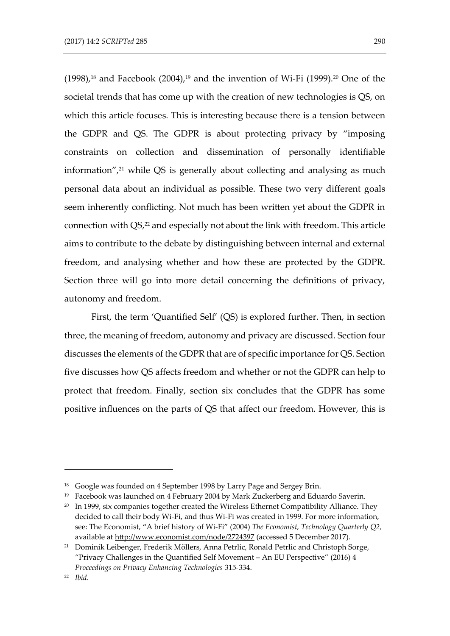$(1998)$ ,<sup>18</sup> and Facebook  $(2004)$ ,<sup>19</sup> and the invention of Wi-Fi  $(1999)$ .<sup>20</sup> One of the societal trends that has come up with the creation of new technologies is QS, on which this article focuses. This is interesting because there is a tension between the GDPR and QS. The GDPR is about protecting privacy by "imposing constraints on collection and dissemination of personally identifiable information", $21$  while QS is generally about collecting and analysing as much personal data about an individual as possible. These two very different goals seem inherently conflicting. Not much has been written yet about the GDPR in connection with  $QS<sub>2</sub><sup>22</sup>$  and especially not about the link with freedom. This article aims to contribute to the debate by distinguishing between internal and external freedom, and analysing whether and how these are protected by the GDPR. Section three will go into more detail concerning the definitions of privacy, autonomy and freedom.

First, the term 'Quantified Self' (QS) is explored further. Then, in section three, the meaning of freedom, autonomy and privacy are discussed. Section four discusses the elements of the GDPR that are of specific importance for QS. Section five discusses how QS affects freedom and whether or not the GDPR can help to protect that freedom. Finally, section six concludes that the GDPR has some positive influences on the parts of QS that affect our freedom. However, this is

<sup>&</sup>lt;sup>18</sup> Google was founded on 4 September 1998 by Larry Page and Sergey Brin.

 $19$  Facebook was launched on 4 February 2004 by Mark Zuckerberg and Eduardo Saverin.

<sup>&</sup>lt;sup>20</sup> In 1999, six companies together created the Wireless Ethernet Compatibility Alliance. They decided to call their body Wi-Fi, and thus Wi-Fi was created in 1999. For more information, see: The Economist, "A brief history of Wi-Fi" (2004) *The Economist, Technology Quarterly Q2,*  available at <http://www.economist.com/node/2724397> (accessed 5 December 2017).

<sup>&</sup>lt;sup>21</sup> Dominik Leibenger, Frederik Möllers, Anna Petrlic, Ronald Petrlic and Christoph Sorge, "Privacy Challenges in the Quantified Self Movement – An EU Perspective" (2016) 4 *Proceedings on Privacy Enhancing Technologies* 315-334.

<sup>22</sup> *Ibid*.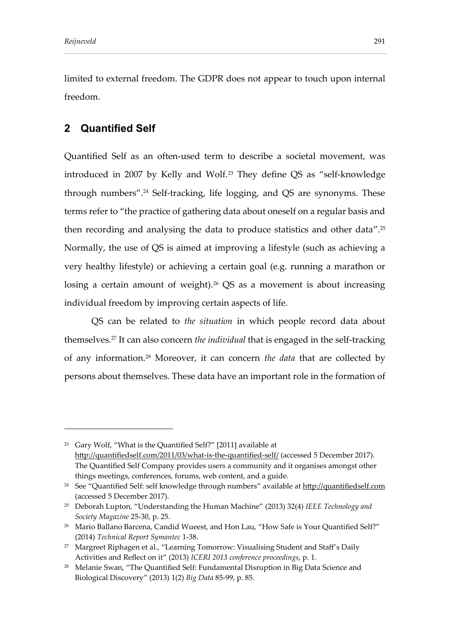limited to external freedom. The GDPR does not appear to touch upon internal freedom.

# **2 Quantified Self**

Quantified Self as an often-used term to describe a societal movement, was introduced in 2007 by Kelly and Wolf.<sup>23</sup> They define QS as "self-knowledge through numbers".<sup>24</sup> Self-tracking, life logging, and QS are synonyms. These terms refer to "the practice of gathering data about oneself on a regular basis and then recording and analysing the data to produce statistics and other data".<sup>25</sup> Normally, the use of QS is aimed at improving a lifestyle (such as achieving a very healthy lifestyle) or achieving a certain goal (e.g. running a marathon or losing a certain amount of weight).<sup>26</sup> QS as a movement is about increasing individual freedom by improving certain aspects of life.

QS can be related to *the situation* in which people record data about themselves.<sup>27</sup> It can also concern *the individual* that is engaged in the self-tracking of any information.<sup>28</sup> Moreover, it can concern *the data* that are collected by persons about themselves. These data have an important role in the formation of

<sup>23</sup> Gary Wolf, "What is the Quantified Self?" [2011] available at <http://quantifiedself.com/2011/03/what-is-the-quantified-self/> (accessed 5 December 2017). The Quantified Self Company provides users a community and it organises amongst other things meetings, conferences, forums, web content, and a guide.

<sup>&</sup>lt;sup>24</sup> See "Quantified Self: self knowledge through numbers" available at [http://quantifiedself.com](http://quantifiedself.com/) (accessed 5 December 2017).

<sup>25</sup> Deborah Lupton, "Understanding the Human Machine" (2013) 32(4) *IEEE Technology and Society Magazine* 25-30, p. 25.

<sup>&</sup>lt;sup>26</sup> Mario Ballano Barcena, Candid Wueest, and Hon Lau, "How Safe is Your Quantified Self?" (2014) *Technical Report Symantec* 1-38.

<sup>&</sup>lt;sup>27</sup> Margreet Riphagen et al., "Learning Tomorrow: Visualising Student and Staff's Daily Activities and Reflect on it" (2013) *ICERI 2013 conference proceedings*, p. 1.

<sup>28</sup> Melanie Swan, "The Quantified Self: Fundamental Disruption in Big Data Science and Biological Discovery" (2013) 1(2) *Big Data* 85-99, p. 85.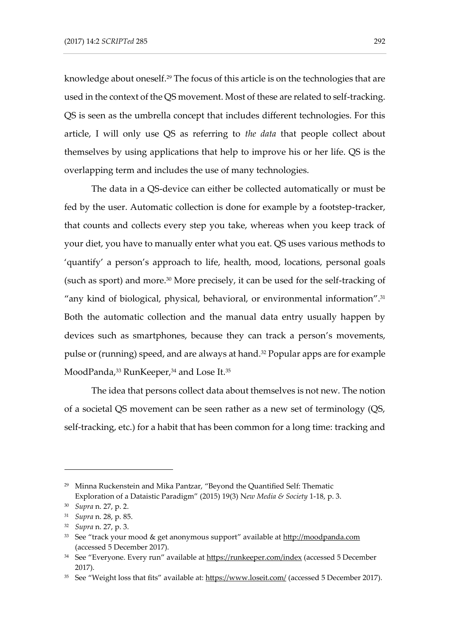knowledge about oneself.<sup>29</sup> The focus of this article is on the technologies that are used in the context of the QS movement. Most of these are related to self-tracking. QS is seen as the umbrella concept that includes different technologies. For this article, I will only use QS as referring to *the data* that people collect about themselves by using applications that help to improve his or her life. QS is the overlapping term and includes the use of many technologies.

The data in a QS-device can either be collected automatically or must be fed by the user. Automatic collection is done for example by a footstep-tracker, that counts and collects every step you take, whereas when you keep track of your diet, you have to manually enter what you eat. QS uses various methods to 'quantify' a person's approach to life, health, mood, locations, personal goals (such as sport) and more.<sup>30</sup> More precisely, it can be used for the self-tracking of "any kind of biological, physical, behavioral, or environmental information".<sup>31</sup> Both the automatic collection and the manual data entry usually happen by devices such as smartphones, because they can track a person's movements, pulse or (running) speed, and are always at hand.<sup>32</sup> Popular apps are for example MoodPanda,<sup>33</sup> RunKeeper,<sup>34</sup> and Lose It.<sup>35</sup>

The idea that persons collect data about themselves is not new. The notion of a societal QS movement can be seen rather as a new set of terminology (QS, self-tracking, etc.) for a habit that has been common for a long time: tracking and

<sup>29</sup> Minna Ruckenstein and Mika Pantzar, "Beyond the Quantified Self: Thematic Exploration of a Dataistic Paradigm" (2015) 19(3) N*ew Media & Society* 1-18, p. 3.

<sup>30</sup> *Supra* n. 27, p. 2.

<sup>31</sup> *Supra* n. 28, p. 85.

<sup>32</sup> *Supra* n. 27, p. 3.

<sup>33</sup> See "track your mood & get anonymous support" available at [http://moodpanda.com](http://moodpanda.com/) (accessed 5 December 2017).

<sup>&</sup>lt;sup>34</sup> See "Everyone. Every run" available at <https://runkeeper.com/index> (accessed 5 December 2017).

<sup>&</sup>lt;sup>35</sup> See "Weight loss that fits" available at: <https://www.loseit.com/> (accessed 5 December 2017).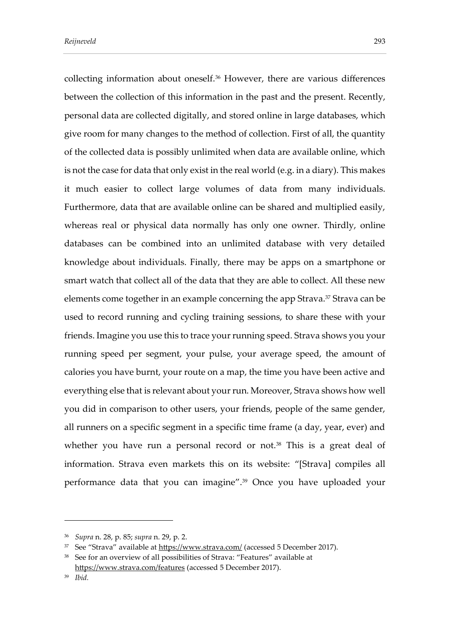collecting information about oneself.<sup>36</sup> However, there are various differences between the collection of this information in the past and the present. Recently, personal data are collected digitally, and stored online in large databases, which give room for many changes to the method of collection. First of all, the quantity of the collected data is possibly unlimited when data are available online, which is not the case for data that only exist in the real world (e.g. in a diary). This makes it much easier to collect large volumes of data from many individuals. Furthermore, data that are available online can be shared and multiplied easily, whereas real or physical data normally has only one owner. Thirdly, online databases can be combined into an unlimited database with very detailed knowledge about individuals. Finally, there may be apps on a smartphone or smart watch that collect all of the data that they are able to collect. All these new elements come together in an example concerning the app Strava.<sup>37</sup> Strava can be used to record running and cycling training sessions, to share these with your friends. Imagine you use this to trace your running speed. Strava shows you your running speed per segment, your pulse, your average speed, the amount of calories you have burnt, your route on a map, the time you have been active and everything else that is relevant about your run. Moreover, Strava shows how well you did in comparison to other users, your friends, people of the same gender, all runners on a specific segment in a specific time frame (a day, year, ever) and whether you have run a personal record or not.<sup>38</sup> This is a great deal of information. Strava even markets this on its website: "[Strava] compiles all performance data that you can imagine". <sup>39</sup> Once you have uploaded your

<sup>36</sup> *Supra* n. 28, p. 85; *supra* n. 29, p. 2.

<sup>&</sup>lt;sup>37</sup> See "Strava" available at <https://www.strava.com/> (accessed 5 December 2017).

<sup>38</sup> See for an overview of all possibilities of Strava: "Features" available at <https://www.strava.com/features> (accessed 5 December 2017).

<sup>39</sup> *Ibid.*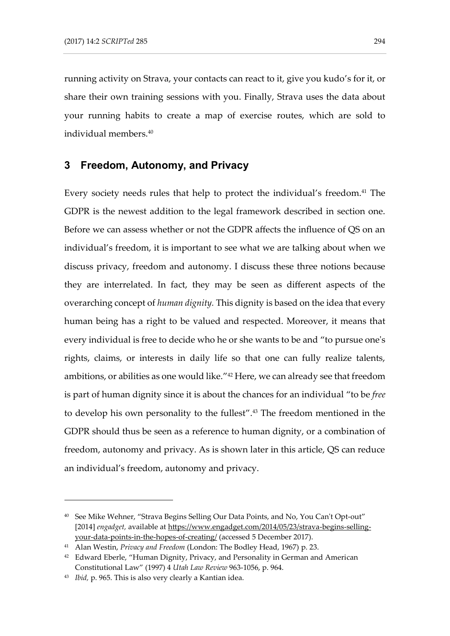running activity on Strava, your contacts can react to it, give you kudo's for it, or share their own training sessions with you. Finally, Strava uses the data about your running habits to create a map of exercise routes, which are sold to individual members.<sup>40</sup>

# **3 Freedom, Autonomy, and Privacy**

Every society needs rules that help to protect the individual's freedom.<sup>41</sup> The GDPR is the newest addition to the legal framework described in section one. Before we can assess whether or not the GDPR affects the influence of QS on an individual's freedom, it is important to see what we are talking about when we discuss privacy, freedom and autonomy. I discuss these three notions because they are interrelated. In fact, they may be seen as different aspects of the overarching concept of *human dignity.* This dignity is based on the idea that every human being has a right to be valued and respected. Moreover, it means that every individual is free to decide who he or she wants to be and "to pursue one's rights, claims, or interests in daily life so that one can fully realize talents, ambitions, or abilities as one would like." <sup>42</sup> Here, we can already see that freedom is part of human dignity since it is about the chances for an individual "to be *free* to develop his own personality to the fullest".<sup>43</sup> The freedom mentioned in the GDPR should thus be seen as a reference to human dignity, or a combination of freedom, autonomy and privacy. As is shown later in this article, QS can reduce an individual's freedom, autonomy and privacy.

<sup>40</sup> See Mike Wehner, "Strava Begins Selling Our Data Points, and No, You Can't Opt-out" [2014] *engadget,* available at [https://www.engadget.com/2014/05/23/strava-begins-selling](https://www.engadget.com/2014/05/23/strava-begins-selling-your-data-points-in-the-hopes-of-creating/)[your-data-points-in-the-hopes-of-creating/](https://www.engadget.com/2014/05/23/strava-begins-selling-your-data-points-in-the-hopes-of-creating/) (accessed 5 December 2017).

<sup>41</sup> Alan Westin, *Privacy and Freedom* (London: The Bodley Head, 1967) p. 23.

<sup>&</sup>lt;sup>42</sup> Edward Eberle, "Human Dignity, Privacy, and Personality in German and American Constitutional Law" (1997) 4 *Utah Law Review* 963-1056, p. 964.

<sup>43</sup> *Ibid,* p. 965. This is also very clearly a Kantian idea.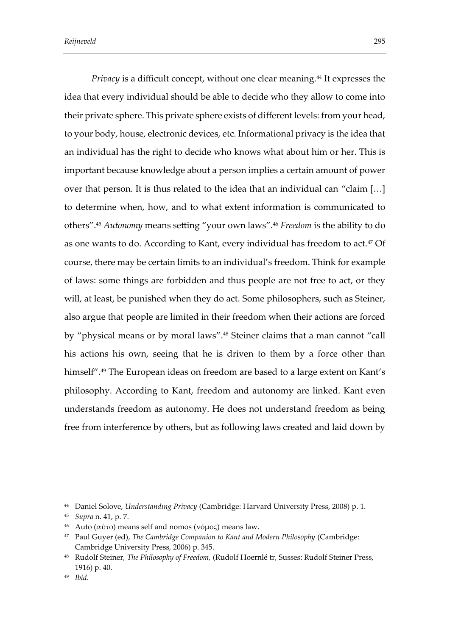*Privacy* is a difficult concept, without one clear meaning.<sup>44</sup> It expresses the idea that every individual should be able to decide who they allow to come into their private sphere. This private sphere exists of different levels: from your head, to your body, house, electronic devices, etc. Informational privacy is the idea that an individual has the right to decide who knows what about him or her. This is important because knowledge about a person implies a certain amount of power over that person. It is thus related to the idea that an individual can "claim […] to determine when, how, and to what extent information is communicated to others".<sup>45</sup> *Autonomy* means setting "your own laws".<sup>46</sup> *Freedom* is the ability to do as one wants to do. According to Kant, every individual has freedom to act.<sup>47</sup> Of course, there may be certain limits to an individual's freedom. Think for example of laws: some things are forbidden and thus people are not free to act, or they will, at least, be punished when they do act. Some philosophers, such as Steiner, also argue that people are limited in their freedom when their actions are forced by "physical means or by moral laws".<sup>48</sup> Steiner claims that a man cannot "call his actions his own, seeing that he is driven to them by a force other than himself".<sup>49</sup> The European ideas on freedom are based to a large extent on Kant's philosophy. According to Kant, freedom and autonomy are linked. Kant even understands freedom as autonomy. He does not understand freedom as being free from interference by others, but as following laws created and laid down by

<sup>44</sup> Daniel Solove, *Understanding Privacy* (Cambridge: Harvard University Press, 2008) p. 1.

<sup>45</sup> *Supra* n. 41, p. 7.

<sup>&</sup>lt;sup>46</sup> Auto (αὐτο) means self and nomos (νόμος) means law.

<sup>&</sup>lt;sup>47</sup> Paul Guyer (ed), *The Cambridge Companion to Kant and Modern Philosophy* (Cambridge: Cambridge University Press, 2006) p. 345.

<sup>48</sup> Rudolf Steiner, *The Philosophy of Freedom,* (Rudolf Hoernlé tr, Susses: Rudolf Steiner Press, 1916) p. 40.

<sup>49</sup> *Ibid*.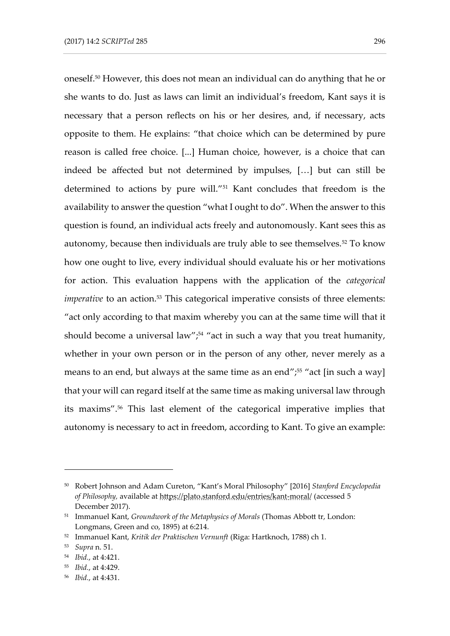oneself.<sup>50</sup> However, this does not mean an individual can do anything that he or she wants to do. Just as laws can limit an individual's freedom, Kant says it is necessary that a person reflects on his or her desires, and, if necessary, acts opposite to them. He explains: "that choice which can be determined by pure reason is called free choice. [...] Human choice, however, is a choice that can indeed be affected but not determined by impulses, […] but can still be determined to actions by pure will." <sup>51</sup> Kant concludes that freedom is the availability to answer the question "what I ought to do". When the answer to this question is found, an individual acts freely and autonomously. Kant sees this as autonomy, because then individuals are truly able to see themselves.<sup>52</sup> To know how one ought to live, every individual should evaluate his or her motivations for action. This evaluation happens with the application of the *categorical imperative* to an action.<sup>53</sup> This categorical imperative consists of three elements: "act only according to that maxim whereby you can at the same time will that it should become a universal law";<sup>54</sup> "act in such a way that you treat humanity, whether in your own person or in the person of any other, never merely as a means to an end, but always at the same time as an end";<sup>55</sup> "act [in such a way] that your will can regard itself at the same time as making universal law through its maxims".<sup>56</sup> This last element of the categorical imperative implies that autonomy is necessary to act in freedom, according to Kant. To give an example:

<sup>50</sup> Robert Johnson and Adam Cureton, "Kant's Moral Philosophy" [2016] *Stanford Encyclopedia of Philosophy,* available at https://plato.stanford.edu/entries/kant-moral/ (accessed 5 December 2017).

<sup>51</sup> Immanuel Kant, *Groundwork of the Metaphysics of Morals* (Thomas Abbott tr, London: Longmans, Green and co, 1895) at 6:214.

<sup>52</sup> Immanuel Kant, *Kritik der Praktischen Vernunft* (Riga: Hartknoch, 1788) ch 1.

<sup>53</sup> *Supra* n. 51.

<sup>54</sup> *Ibid.*, at 4:421.

<sup>55</sup> *Ibid.*, at 4:429.

<sup>56</sup> *Ibid.*, at 4:431.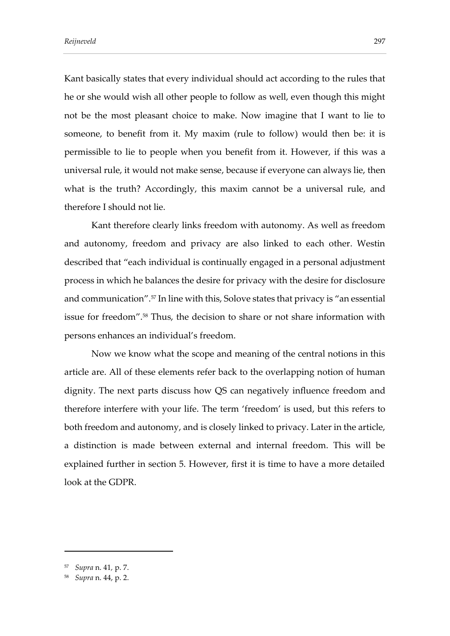Kant basically states that every individual should act according to the rules that he or she would wish all other people to follow as well, even though this might not be the most pleasant choice to make. Now imagine that I want to lie to someone, to benefit from it. My maxim (rule to follow) would then be: it is permissible to lie to people when you benefit from it. However, if this was a universal rule, it would not make sense, because if everyone can always lie, then what is the truth? Accordingly, this maxim cannot be a universal rule, and therefore I should not lie.

Kant therefore clearly links freedom with autonomy. As well as freedom and autonomy, freedom and privacy are also linked to each other. Westin described that "each individual is continually engaged in a personal adjustment process in which he balances the desire for privacy with the desire for disclosure and communication".<sup>57</sup> In line with this, Solove states that privacy is "an essential issue for freedom".<sup>58</sup> Thus, the decision to share or not share information with persons enhances an individual's freedom.

Now we know what the scope and meaning of the central notions in this article are. All of these elements refer back to the overlapping notion of human dignity. The next parts discuss how QS can negatively influence freedom and therefore interfere with your life. The term 'freedom' is used, but this refers to both freedom and autonomy, and is closely linked to privacy. Later in the article, a distinction is made between external and internal freedom. This will be explained further in section 5. However, first it is time to have a more detailed look at the GDPR.

<sup>57</sup> *Supra* n. 41*,* p. 7.

<sup>58</sup> *Supra* n. 44, p. 2.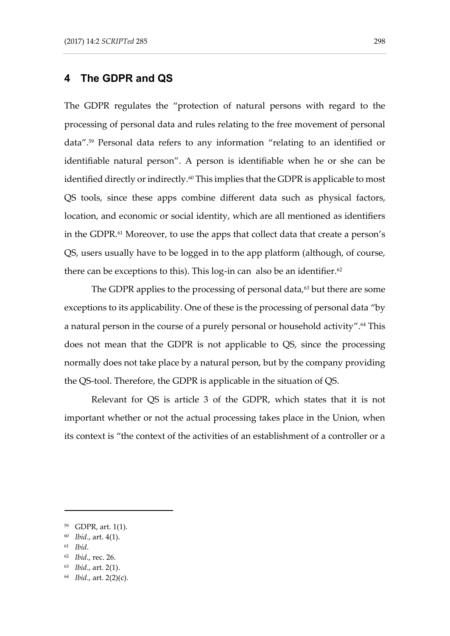# **4 The GDPR and QS**

The GDPR regulates the "protection of natural persons with regard to the processing of personal data and rules relating to the free movement of personal data".<sup>59</sup> Personal data refers to any information "relating to an identified or identifiable natural person". A person is identifiable when he or she can be identified directly or indirectly.<sup>60</sup> This implies that the GDPR is applicable to most QS tools, since these apps combine different data such as physical factors, location, and economic or social identity, which are all mentioned as identifiers in the GDPR.<sup>61</sup> Moreover, to use the apps that collect data that create a person's QS, users usually have to be logged in to the app platform (although, of course, there can be exceptions to this). This  $log-in$  can also be an identifier.<sup>62</sup>

The GDPR applies to the processing of personal data, $63$  but there are some exceptions to its applicability. One of these is the processing of personal data "by a natural person in the course of a purely personal or household activity".<sup>64</sup> This does not mean that the GDPR is not applicable to QS, since the processing normally does not take place by a natural person, but by the company providing the QS-tool. Therefore, the GDPR is applicable in the situation of QS.

Relevant for QS is article 3 of the GDPR, which states that it is not important whether or not the actual processing takes place in the Union, when its context is "the context of the activities of an establishment of a controller or a

<sup>59</sup> GDPR, art. 1(1).

<sup>60</sup> *Ibid*., art. 4(1).

<sup>61</sup> *Ibid*.

<sup>62</sup> *Ibid*., rec. 26.

<sup>63</sup> *Ibid*., art. 2(1).

<sup>64</sup> *Ibid*., art. 2(2)(c).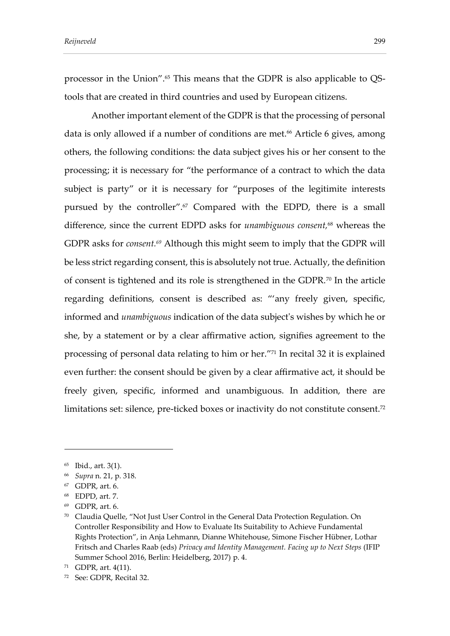processor in the Union".<sup>65</sup> This means that the GDPR is also applicable to QStools that are created in third countries and used by European citizens.

Another important element of the GDPR is that the processing of personal data is only allowed if a number of conditions are met.<sup>66</sup> Article 6 gives, among others, the following conditions: the data subject gives his or her consent to the processing; it is necessary for "the performance of a contract to which the data subject is party" or it is necessary for "purposes of the legitimite interests pursued by the controller".<sup>67</sup> Compared with the EDPD, there is a small difference, since the current EDPD asks for *unambiguous consent,*<sup>68</sup> whereas the GDPR asks for *consent.<sup>69</sup>* Although this might seem to imply that the GDPR will be less strict regarding consent, this is absolutely not true. Actually, the definition of consent is tightened and its role is strengthened in the GDPR.<sup>70</sup> In the article regarding definitions, consent is described as: "'any freely given, specific, informed and *unambiguous* indication of the data subject's wishes by which he or she, by a statement or by a clear affirmative action, signifies agreement to the processing of personal data relating to him or her." <sup>71</sup> In recital 32 it is explained even further: the consent should be given by a clear affirmative act, it should be freely given, specific, informed and unambiguous. In addition, there are limitations set: silence, pre-ticked boxes or inactivity do not constitute consent.<sup>72</sup>

<sup>65</sup> Ibid., art. 3(1).

<sup>66</sup> *Supra* n. 21, p. 318.

<sup>67</sup> GDPR, art. 6.

<sup>68</sup> EDPD, art. 7.

<sup>69</sup> GDPR, art. 6.

<sup>70</sup> Claudia Quelle, "Not Just User Control in the General Data Protection Regulation. On Controller Responsibility and How to Evaluate Its Suitability to Achieve Fundamental Rights Protection", in Anja Lehmann, Dianne Whitehouse, Simone Fischer Hübner, Lothar Fritsch and Charles Raab (eds) *Privacy and Identity Management. Facing up to Next Steps* (IFIP Summer School 2016, Berlin: Heidelberg, 2017) p. 4.

<sup>71</sup> GDPR, art. 4(11).

<sup>72</sup> See: GDPR, Recital 32.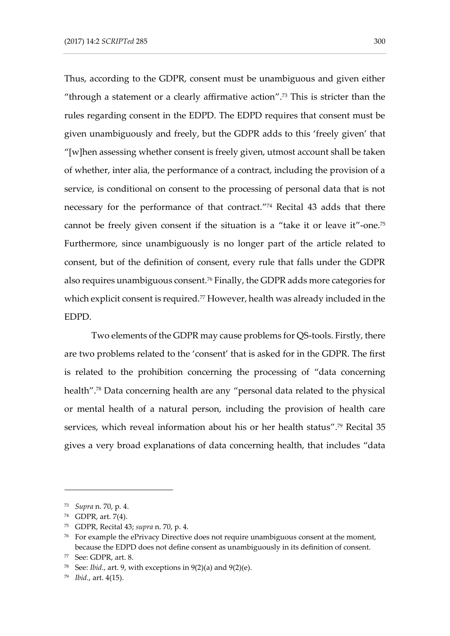Thus, according to the GDPR, consent must be unambiguous and given either "through a statement or a clearly affirmative action".<sup>73</sup> This is stricter than the rules regarding consent in the EDPD. The EDPD requires that consent must be given unambiguously and freely, but the GDPR adds to this 'freely given' that "[w]hen assessing whether consent is freely given, utmost account shall be taken of whether, inter alia, the performance of a contract, including the provision of a service, is conditional on consent to the processing of personal data that is not necessary for the performance of that contract." <sup>74</sup> Recital 43 adds that there cannot be freely given consent if the situation is a "take it or leave it"-one.<sup>75</sup> Furthermore, since unambiguously is no longer part of the article related to consent, but of the definition of consent, every rule that falls under the GDPR also requires unambiguous consent.<sup>76</sup> Finally, the GDPR adds more categories for which explicit consent is required.<sup>77</sup> However, health was already included in the EDPD.

Two elements of the GDPR may cause problems for QS-tools. Firstly, there are two problems related to the 'consent' that is asked for in the GDPR. The first is related to the prohibition concerning the processing of "data concerning health".<sup>78</sup> Data concerning health are any "personal data related to the physical or mental health of a natural person, including the provision of health care services, which reveal information about his or her health status".<sup>79</sup> Recital 35 gives a very broad explanations of data concerning health, that includes "data

<sup>73</sup> *Supra* n. 70, p. 4.

<sup>74</sup> GDPR, art. 7(4).

<sup>75</sup> GDPR, Recital 43; *supra* n. 70, p. 4.

<sup>&</sup>lt;sup>76</sup> For example the ePrivacy Directive does not require unambiguous consent at the moment, because the EDPD does not define consent as unambiguously in its definition of consent.

<sup>77</sup> See: GDPR, art. 8.

<sup>&</sup>lt;sup>78</sup> See: *Ibid.*, art. 9, with exceptions in  $9(2)(a)$  and  $9(2)(e)$ .

<sup>79</sup> *Ibid.*, art. 4(15).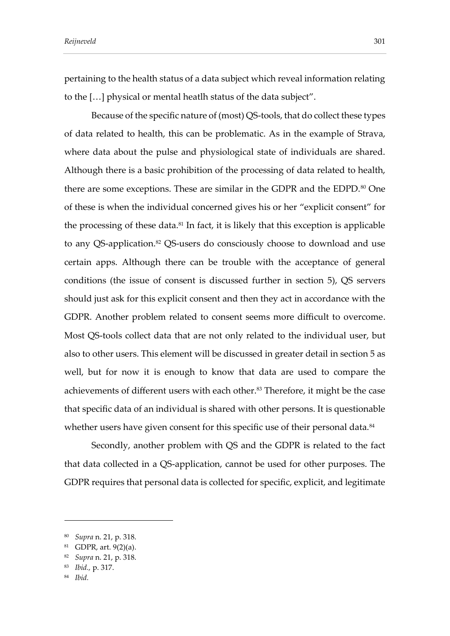pertaining to the health status of a data subject which reveal information relating to the […] physical or mental heatlh status of the data subject".

Because of the specific nature of (most) QS-tools, that do collect these types of data related to health, this can be problematic. As in the example of Strava, where data about the pulse and physiological state of individuals are shared. Although there is a basic prohibition of the processing of data related to health, there are some exceptions. These are similar in the GDPR and the EDPD.<sup>80</sup> One of these is when the individual concerned gives his or her "explicit consent" for the processing of these data.<sup>81</sup> In fact, it is likely that this exception is applicable to any QS-application. <sup>82</sup> QS-users do consciously choose to download and use certain apps. Although there can be trouble with the acceptance of general conditions (the issue of consent is discussed further in section 5), QS servers should just ask for this explicit consent and then they act in accordance with the GDPR. Another problem related to consent seems more difficult to overcome. Most QS-tools collect data that are not only related to the individual user, but also to other users. This element will be discussed in greater detail in section 5 as well, but for now it is enough to know that data are used to compare the achievements of different users with each other.<sup>83</sup> Therefore, it might be the case that specific data of an individual is shared with other persons. It is questionable whether users have given consent for this specific use of their personal data.<sup>84</sup>

Secondly, another problem with QS and the GDPR is related to the fact that data collected in a QS-application, cannot be used for other purposes. The GDPR requires that personal data is collected for specific, explicit, and legitimate

<sup>84</sup> *Ibid.* 

<sup>80</sup> *Supra* n. 21, p. 318.

<sup>81</sup> GDPR, art. 9(2)(a).

<sup>82</sup> *Supra* n. 21, p. 318.

<sup>83</sup> *Ibid.,* p. 317.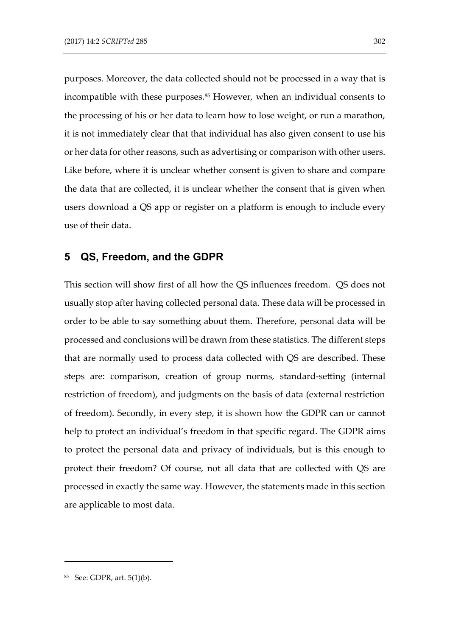purposes. Moreover, the data collected should not be processed in a way that is incompatible with these purposes.<sup>85</sup> However, when an individual consents to the processing of his or her data to learn how to lose weight, or run a marathon, it is not immediately clear that that individual has also given consent to use his or her data for other reasons, such as advertising or comparison with other users. Like before, where it is unclear whether consent is given to share and compare the data that are collected, it is unclear whether the consent that is given when users download a QS app or register on a platform is enough to include every use of their data.

## **5 QS, Freedom, and the GDPR**

This section will show first of all how the QS influences freedom. QS does not usually stop after having collected personal data. These data will be processed in order to be able to say something about them. Therefore, personal data will be processed and conclusions will be drawn from these statistics. The different steps that are normally used to process data collected with QS are described. These steps are: comparison, creation of group norms, standard-setting (internal restriction of freedom), and judgments on the basis of data (external restriction of freedom). Secondly, in every step, it is shown how the GDPR can or cannot help to protect an individual's freedom in that specific regard. The GDPR aims to protect the personal data and privacy of individuals, but is this enough to protect their freedom? Of course, not all data that are collected with QS are processed in exactly the same way. However, the statements made in this section are applicable to most data.

<sup>85</sup> See: GDPR, art. 5(1)(b).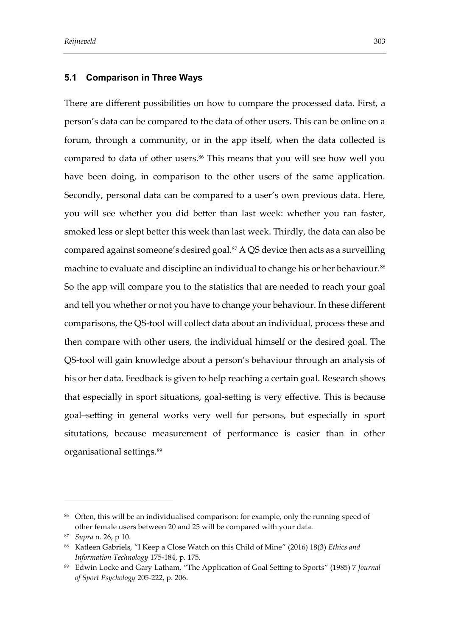#### **5.1 Comparison in Three Ways**

There are different possibilities on how to compare the processed data. First, a person's data can be compared to the data of other users. This can be online on a forum, through a community, or in the app itself, when the data collected is compared to data of other users.<sup>86</sup> This means that you will see how well you have been doing, in comparison to the other users of the same application. Secondly, personal data can be compared to a user's own previous data. Here, you will see whether you did better than last week: whether you ran faster, smoked less or slept better this week than last week. Thirdly, the data can also be compared against someone's desired goal.<sup>87</sup> A QS device then acts as a surveilling machine to evaluate and discipline an individual to change his or her behaviour.<sup>88</sup> So the app will compare you to the statistics that are needed to reach your goal and tell you whether or not you have to change your behaviour. In these different comparisons, the QS-tool will collect data about an individual, process these and then compare with other users, the individual himself or the desired goal. The QS-tool will gain knowledge about a person's behaviour through an analysis of his or her data. Feedback is given to help reaching a certain goal. Research shows that especially in sport situations, goal-setting is very effective. This is because goal–setting in general works very well for persons, but especially in sport situtations, because measurement of performance is easier than in other organisational settings.<sup>89</sup>

<sup>86</sup> Often, this will be an individualised comparison: for example, only the running speed of other female users between 20 and 25 will be compared with your data.

<sup>87</sup> *Supra* n. 26, p 10.

<sup>88</sup> Katleen Gabriels, "I Keep a Close Watch on this Child of Mine" (2016) 18(3) *Ethics and Information Technology* 175-184, p. 175.

<sup>89</sup> Edwin Locke and Gary Latham, "The Application of Goal Setting to Sports" (1985) 7 *Journal of Sport Psychology* 205-222, p. 206.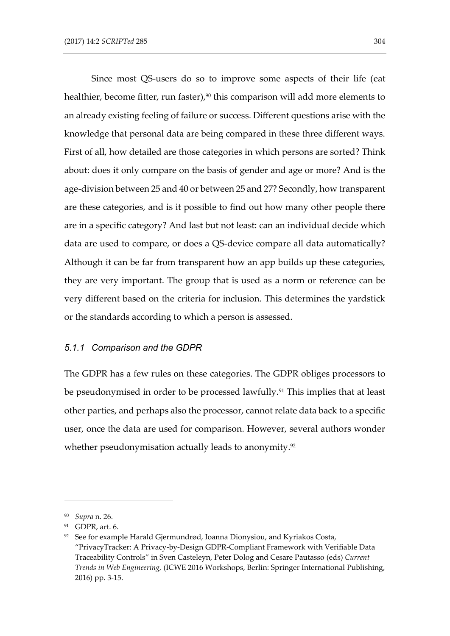Since most QS-users do so to improve some aspects of their life (eat healthier, become fitter, run faster),<sup>90</sup> this comparison will add more elements to an already existing feeling of failure or success. Different questions arise with the knowledge that personal data are being compared in these three different ways. First of all, how detailed are those categories in which persons are sorted? Think about: does it only compare on the basis of gender and age or more? And is the age-division between 25 and 40 or between 25 and 27? Secondly, how transparent are these categories, and is it possible to find out how many other people there are in a specific category? And last but not least: can an individual decide which data are used to compare, or does a QS-device compare all data automatically? Although it can be far from transparent how an app builds up these categories, they are very important. The group that is used as a norm or reference can be very different based on the criteria for inclusion. This determines the yardstick or the standards according to which a person is assessed.

### *5.1.1 Comparison and the GDPR*

The GDPR has a few rules on these categories. The GDPR obliges processors to be pseudonymised in order to be processed lawfully.<sup>91</sup> This implies that at least other parties, and perhaps also the processor, cannot relate data back to a specific user, once the data are used for comparison. However, several authors wonder whether pseudonymisation actually leads to anonymity. 92

<sup>90</sup> *Supra* n. 26.

<sup>91</sup> GDPR, art. 6.

 $92$  See for example Harald Gjermundrød, Ioanna Dionysiou, and Kyriakos Costa, "PrivacyTracker: A Privacy-by-Design GDPR-Compliant Framework with Verifiable Data Traceability Controls" in Sven Casteleyn, Peter Dolog and Cesare Pautasso (eds) *Current Trends in Web Engineering,* (ICWE 2016 Workshops, Berlin: Springer International Publishing, 2016) pp. 3-15.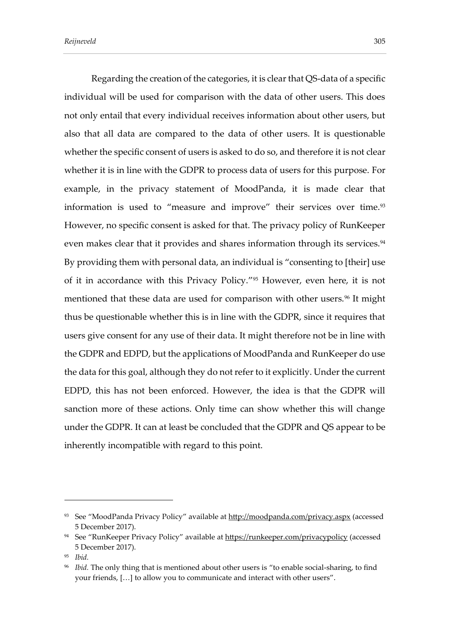Regarding the creation of the categories, it is clear that QS-data of a specific individual will be used for comparison with the data of other users. This does not only entail that every individual receives information about other users, but also that all data are compared to the data of other users. It is questionable whether the specific consent of users is asked to do so, and therefore it is not clear whether it is in line with the GDPR to process data of users for this purpose. For example, in the privacy statement of MoodPanda, it is made clear that information is used to "measure and improve" their services over time.<sup>93</sup> However, no specific consent is asked for that. The privacy policy of RunKeeper even makes clear that it provides and shares information through its services.<sup>94</sup> By providing them with personal data, an individual is "consenting to [their] use of it in accordance with this Privacy Policy." <sup>95</sup> However, even here, it is not mentioned that these data are used for comparison with other users.<sup>96</sup> It might thus be questionable whether this is in line with the GDPR, since it requires that users give consent for any use of their data. It might therefore not be in line with the GDPR and EDPD, but the applications of MoodPanda and RunKeeper do use the data for this goal, although they do not refer to it explicitly. Under the current EDPD, this has not been enforced. However, the idea is that the GDPR will sanction more of these actions. Only time can show whether this will change under the GDPR. It can at least be concluded that the GDPR and QS appear to be inherently incompatible with regard to this point.

<sup>&</sup>lt;sup>93</sup> See "MoodPanda Privacy Policy" available at <http://moodpanda.com/privacy.aspx> (accessed 5 December 2017).

<sup>&</sup>lt;sup>94</sup> See "RunKeeper Privacy Policy" available at <https://runkeeper.com/privacypolicy> (accessed 5 December 2017).

<sup>95</sup> *Ibid.*

<sup>96</sup> *Ibid.* The only thing that is mentioned about other users is "to enable social-sharing, to find your friends, […] to allow you to communicate and interact with other users".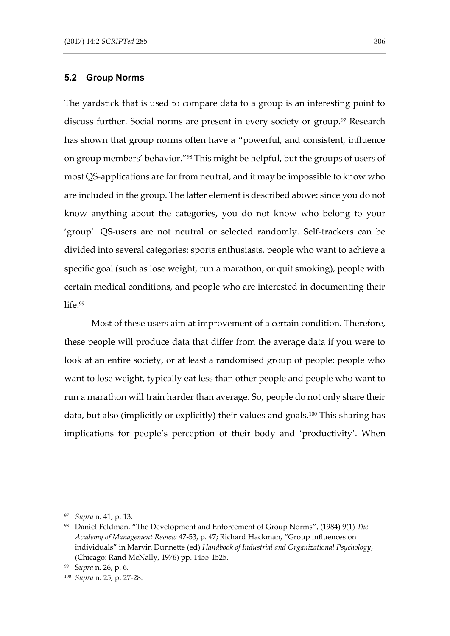#### **5.2 Group Norms**

The yardstick that is used to compare data to a group is an interesting point to discuss further. Social norms are present in every society or group.<sup>97</sup> Research has shown that group norms often have a "powerful, and consistent, influence on group members' behavior." <sup>98</sup> This might be helpful, but the groups of users of most QS-applications are far from neutral, and it may be impossible to know who are included in the group. The latter element is described above: since you do not know anything about the categories, you do not know who belong to your 'group'. QS-users are not neutral or selected randomly. Self-trackers can be divided into several categories: sports enthusiasts, people who want to achieve a specific goal (such as lose weight, run a marathon, or quit smoking), people with certain medical conditions, and people who are interested in documenting their life.99

Most of these users aim at improvement of a certain condition. Therefore, these people will produce data that differ from the average data if you were to look at an entire society, or at least a randomised group of people: people who want to lose weight, typically eat less than other people and people who want to run a marathon will train harder than average. So, people do not only share their data, but also (implicitly or explicitly) their values and goals.<sup>100</sup> This sharing has implications for people's perception of their body and 'productivity'. When

<sup>97</sup> *Supra* n. 41, p. 13.

<sup>98</sup> Daniel Feldman, "The Development and Enforcement of Group Norms", (1984) 9(1) *The Academy of Management Review* 47-53, p. 47; Richard Hackman, "Group influences on individuals" in Marvin Dunnette (ed) *Handbook of Industrial and Organizational Psychology*, (Chicago: Rand McNally, 1976) pp. 1455-1525.

<sup>99</sup> S*upra* n. 26, p. 6.

<sup>100</sup> *Supra* n. 25, p. 27-28.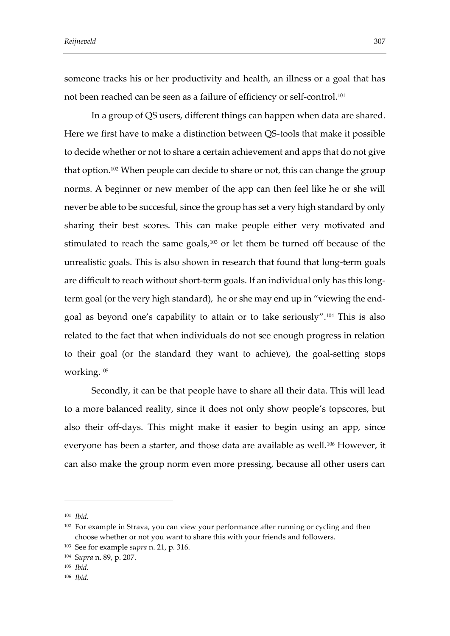someone tracks his or her productivity and health, an illness or a goal that has not been reached can be seen as a failure of efficiency or self-control.<sup>101</sup>

In a group of QS users, different things can happen when data are shared. Here we first have to make a distinction between QS-tools that make it possible to decide whether or not to share a certain achievement and apps that do not give that option.<sup>102</sup> When people can decide to share or not, this can change the group norms. A beginner or new member of the app can then feel like he or she will never be able to be succesful, since the group has set a very high standard by only sharing their best scores. This can make people either very motivated and stimulated to reach the same goals, <sup>103</sup> or let them be turned off because of the unrealistic goals. This is also shown in research that found that long-term goals are difficult to reach without short-term goals. If an individual only has this longterm goal (or the very high standard), he or she may end up in "viewing the endgoal as beyond one's capability to attain or to take seriously". <sup>104</sup> This is also related to the fact that when individuals do not see enough progress in relation to their goal (or the standard they want to achieve), the goal-setting stops working.<sup>105</sup>

Secondly, it can be that people have to share all their data. This will lead to a more balanced reality, since it does not only show people's topscores, but also their off-days. This might make it easier to begin using an app, since everyone has been a starter, and those data are available as well.<sup>106</sup> However, it can also make the group norm even more pressing, because all other users can

- <sup>105</sup> *Ibid.*
- <sup>106</sup> *Ibid.*

<sup>101</sup> *Ibid.*

<sup>&</sup>lt;sup>102</sup> For example in Strava, you can view your performance after running or cycling and then choose whether or not you want to share this with your friends and followers.

<sup>103</sup> See for example *supra* n. 21, p. 316.

<sup>104</sup> S*upra* n. 89, p. 207.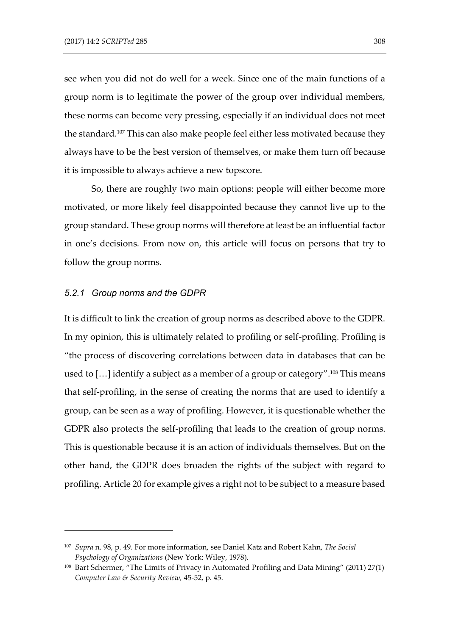see when you did not do well for a week. Since one of the main functions of a group norm is to legitimate the power of the group over individual members, these norms can become very pressing, especially if an individual does not meet the standard.<sup>107</sup> This can also make people feel either less motivated because they always have to be the best version of themselves, or make them turn off because it is impossible to always achieve a new topscore.

So, there are roughly two main options: people will either become more motivated, or more likely feel disappointed because they cannot live up to the group standard. These group norms will therefore at least be an influential factor in one's decisions. From now on, this article will focus on persons that try to follow the group norms.

#### *5.2.1 Group norms and the GDPR*

-

It is difficult to link the creation of group norms as described above to the GDPR. In my opinion, this is ultimately related to profiling or self-profiling. Profiling is "the process of discovering correlations between data in databases that can be used to [...] identify a subject as a member of a group or category".<sup>108</sup> This means that self-profiling, in the sense of creating the norms that are used to identify a group, can be seen as a way of profiling. However, it is questionable whether the GDPR also protects the self-profiling that leads to the creation of group norms. This is questionable because it is an action of individuals themselves. But on the other hand, the GDPR does broaden the rights of the subject with regard to profiling. Article 20 for example gives a right not to be subject to a measure based

<sup>107</sup> *Supra* n. 98, p. 49. For more information, see Daniel Katz and Robert Kahn, *The Social Psychology of Organizations* (New York: Wiley, 1978).

<sup>108</sup> Bart Schermer, "The Limits of Privacy in Automated Profiling and Data Mining" (2011) 27(1) *Computer Law & Security Review,* 45-52, p. 45.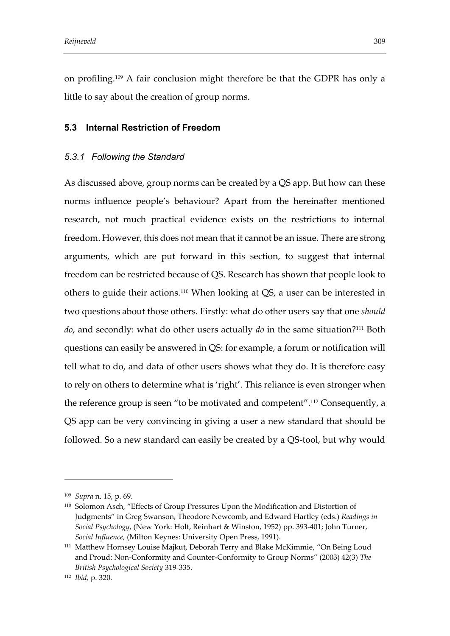on profiling.<sup>109</sup> A fair conclusion might therefore be that the GDPR has only a little to say about the creation of group norms.

## **5.3 Internal Restriction of Freedom**

## *5.3.1 Following the Standard*

As discussed above, group norms can be created by a QS app. But how can these norms influence people's behaviour? Apart from the hereinafter mentioned research, not much practical evidence exists on the restrictions to internal freedom. However, this does not mean that it cannot be an issue. There are strong arguments, which are put forward in this section, to suggest that internal freedom can be restricted because of QS. Research has shown that people look to others to guide their actions.<sup>110</sup> When looking at QS, a user can be interested in two questions about those others. Firstly: what do other users say that one *should do*, and secondly: what do other users actually *do* in the same situation? <sup>111</sup> Both questions can easily be answered in QS: for example, a forum or notification will tell what to do, and data of other users shows what they do. It is therefore easy to rely on others to determine what is 'right'. This reliance is even stronger when the reference group is seen "to be motivated and competent".<sup>112</sup> Consequently, a QS app can be very convincing in giving a user a new standard that should be followed. So a new standard can easily be created by a QS-tool, but why would

<sup>109</sup> *Supra* n. 15, p. 69.

<sup>110</sup> Solomon Asch, "Effects of Group Pressures Upon the Modification and Distortion of Judgments" in Greg Swanson, Theodore Newcomb, and Edward Hartley (eds.) *Readings in Social Psychology*, (New York: Holt, Reinhart & Winston, 1952) pp. 393-401; John Turner, *Social Influence,* (Milton Keynes: University Open Press, 1991).

<sup>111</sup> Matthew Hornsey Louise Majkut, Deborah Terry and Blake McKimmie, "On Being Loud and Proud: Non-Conformity and Counter-Conformity to Group Norms" (2003) 42(3) *The British Psychological Society* 319-335.

<sup>112</sup> *Ibid,* p. 320.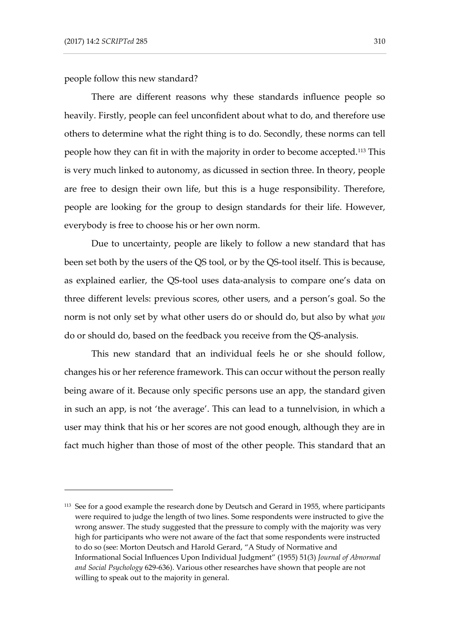people follow this new standard?

There are different reasons why these standards influence people so heavily. Firstly, people can feel unconfident about what to do, and therefore use others to determine what the right thing is to do. Secondly, these norms can tell people how they can fit in with the majority in order to become accepted.<sup>113</sup> This is very much linked to autonomy, as dicussed in section three. In theory, people are free to design their own life, but this is a huge responsibility. Therefore, people are looking for the group to design standards for their life. However, everybody is free to choose his or her own norm.

Due to uncertainty, people are likely to follow a new standard that has been set both by the users of the QS tool, or by the QS-tool itself. This is because, as explained earlier, the QS-tool uses data-analysis to compare one's data on three different levels: previous scores, other users, and a person's goal. So the norm is not only set by what other users do or should do, but also by what *you* do or should do, based on the feedback you receive from the QS-analysis.

This new standard that an individual feels he or she should follow, changes his or her reference framework. This can occur without the person really being aware of it. Because only specific persons use an app, the standard given in such an app, is not 'the average'. This can lead to a tunnelvision, in which a user may think that his or her scores are not good enough, although they are in fact much higher than those of most of the other people. This standard that an

<sup>&</sup>lt;sup>113</sup> See for a good example the research done by Deutsch and Gerard in 1955, where participants were required to judge the length of two lines. Some respondents were instructed to give the wrong answer. The study suggested that the pressure to comply with the majority was very high for participants who were not aware of the fact that some respondents were instructed to do so (see: Morton Deutsch and Harold Gerard, "A Study of Normative and Informational Social Influences Upon Individual Judgment" (1955) 51(3) *Journal of Abnormal and Social Psychology* 629-636). Various other researches have shown that people are not willing to speak out to the majority in general.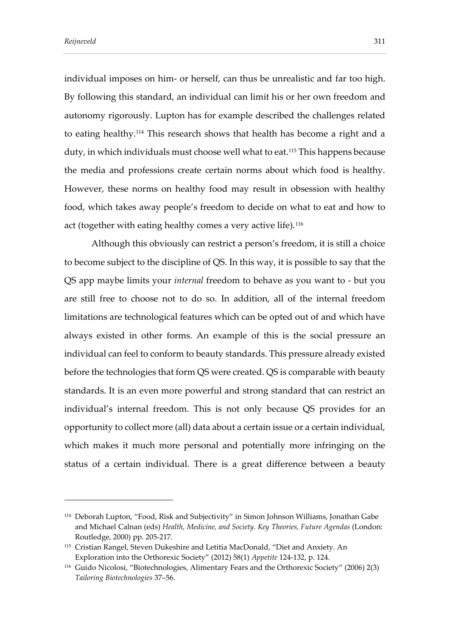individual imposes on him- or herself, can thus be unrealistic and far too high. By following this standard, an individual can limit his or her own freedom and autonomy rigorously. Lupton has for example described the challenges related to eating healthy.<sup>114</sup> This research shows that health has become a right and a duty, in which individuals must choose well what to eat.<sup>115</sup> This happens because the media and professions create certain norms about which food is healthy. However, these norms on healthy food may result in obsession with healthy food, which takes away people's freedom to decide on what to eat and how to act (together with eating healthy comes a very active life).<sup>116</sup>

Although this obviously can restrict a person's freedom, it is still a choice to become subject to the discipline of QS. In this way, it is possible to say that the QS app maybe limits your *internal* freedom to behave as you want to - but you are still free to choose not to do so. In addition, all of the internal freedom limitations are technological features which can be opted out of and which have always existed in other forms. An example of this is the social pressure an individual can feel to conform to beauty standards. This pressure already existed before the technologies that form QS were created. QS is comparable with beauty standards. It is an even more powerful and strong standard that can restrict an individual's internal freedom. This is not only because QS provides for an opportunity to collect more (all) data about a certain issue or a certain individual, which makes it much more personal and potentially more infringing on the status of a certain individual. There is a great difference between a beauty

<sup>114</sup> Deborah Lupton, "Food, Risk and Subjectivity" in Simon Johnson Williams, Jonathan Gabe and Michael Calnan (eds) *Health, Medicine, and Society. Key Theories, Future Agendas* (London: Routledge, 2000) pp. 205-217.

<sup>115</sup> Cristian Rangel, Steven Dukeshire and Letitia MacDonald, "Diet and Anxiety. An Exploration into the Orthorexic Society" (2012) 58(1) *Appetite* 124-132, p. 124.

<sup>116</sup> Guido Nicolosi, "Biotechnologies, Alimentary Fears and the Orthorexic Society" (2006) 2(3) *Tailoring Biotechnologies* 37–56.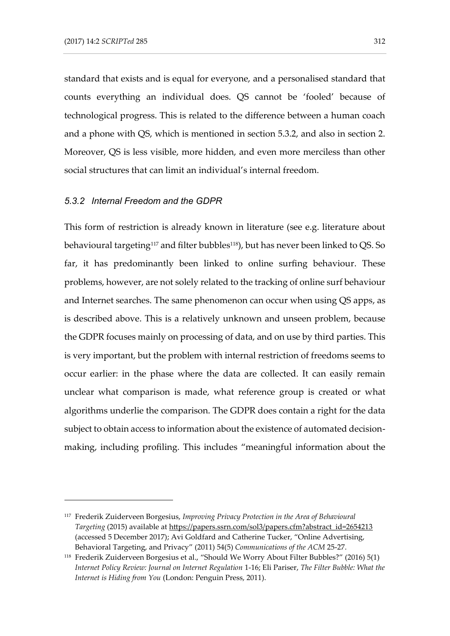standard that exists and is equal for everyone, and a personalised standard that counts everything an individual does. QS cannot be 'fooled' because of technological progress. This is related to the difference between a human coach and a phone with QS, which is mentioned in section 5.3.2, and also in section 2. Moreover, QS is less visible, more hidden, and even more merciless than other social structures that can limit an individual's internal freedom.

#### *5.3.2 Internal Freedom and the GDPR*

This form of restriction is already known in literature (see e.g. literature about behavioural targeting<sup>117</sup> and filter bubbles<sup>118</sup>), but has never been linked to QS. So far, it has predominantly been linked to online surfing behaviour. These problems, however, are not solely related to the tracking of online surf behaviour and Internet searches. The same phenomenon can occur when using QS apps, as is described above. This is a relatively unknown and unseen problem, because the GDPR focuses mainly on processing of data, and on use by third parties. This is very important, but the problem with internal restriction of freedoms seems to occur earlier: in the phase where the data are collected. It can easily remain unclear what comparison is made, what reference group is created or what algorithms underlie the comparison. The GDPR does contain a right for the data subject to obtain access to information about the existence of automated decisionmaking, including profiling. This includes "meaningful information about the

<sup>117</sup> Frederik Zuiderveen Borgesius, *Improving Privacy Protection in the Area of Behavioural Targeting* (2015) available at [https://papers.ssrn.com/sol3/papers.cfm?abstract\\_id=2654213](https://papers.ssrn.com/sol3/papers.cfm?abstract_id=2654213) (accessed 5 December 2017); Avi Goldfard and Catherine Tucker, "Online Advertising, Behavioral Targeting, and Privacy" (2011) 54(5) *Communications of the ACM* 25-27.

<sup>118</sup> Frederik Zuiderveen Borgesius et al., "Should We Worry About Filter Bubbles?" (2016) 5(1) *Internet Policy Review: Journal on Internet Regulation* 1-16; Eli Pariser, *The Filter Bubble: What the Internet is Hiding from You* (London: Penguin Press, 2011).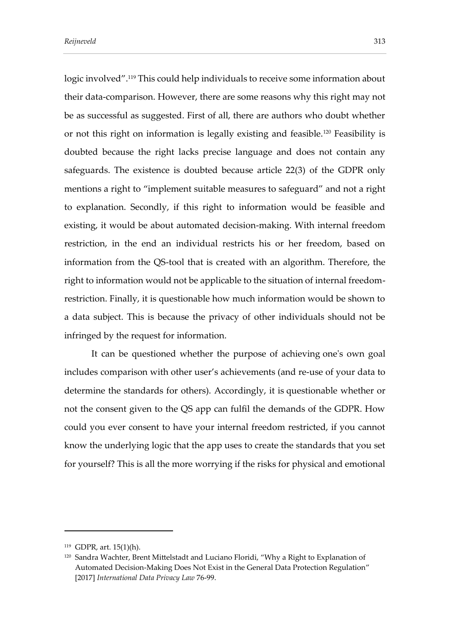logic involved".<sup>119</sup> This could help individuals to receive some information about their data-comparison. However, there are some reasons why this right may not be as successful as suggested. First of all, there are authors who doubt whether or not this right on information is legally existing and feasible.<sup>120</sup> Feasibility is doubted because the right lacks precise language and does not contain any safeguards. The existence is doubted because article 22(3) of the GDPR only mentions a right to "implement suitable measures to safeguard" and not a right to explanation. Secondly, if this right to information would be feasible and existing, it would be about automated decision-making. With internal freedom restriction, in the end an individual restricts his or her freedom, based on information from the QS-tool that is created with an algorithm. Therefore, the right to information would not be applicable to the situation of internal freedomrestriction. Finally, it is questionable how much information would be shown to a data subject. This is because the privacy of other individuals should not be infringed by the request for information.

It can be questioned whether the purpose of achieving one's own goal includes comparison with other user's achievements (and re-use of your data to determine the standards for others). Accordingly, it is questionable whether or not the consent given to the QS app can fulfil the demands of the GDPR. How could you ever consent to have your internal freedom restricted, if you cannot know the underlying logic that the app uses to create the standards that you set for yourself? This is all the more worrying if the risks for physical and emotional

<sup>119</sup> GDPR, art. 15(1)(h).

<sup>&</sup>lt;sup>120</sup> Sandra Wachter, Brent Mittelstadt and Luciano Floridi, "Why a Right to Explanation of Automated Decision-Making Does Not Exist in the General Data Protection Regulation" [2017] *International Data Privacy Law* 76-99.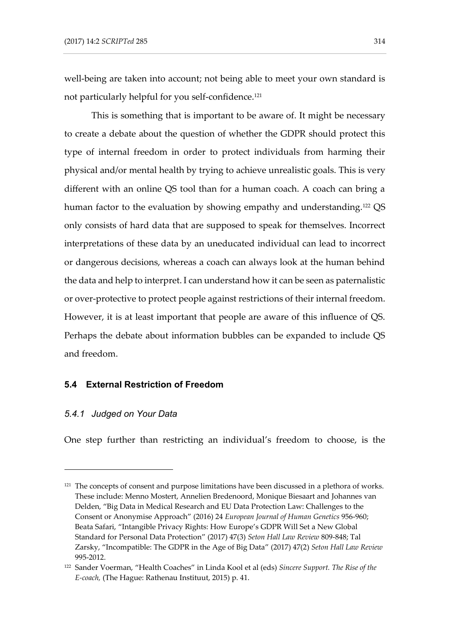well-being are taken into account; not being able to meet your own standard is not particularly helpful for you self-confidence. 121

This is something that is important to be aware of. It might be necessary to create a debate about the question of whether the GDPR should protect this type of internal freedom in order to protect individuals from harming their physical and/or mental health by trying to achieve unrealistic goals. This is very different with an online QS tool than for a human coach. A coach can bring a human factor to the evaluation by showing empathy and understanding.<sup>122</sup> QS only consists of hard data that are supposed to speak for themselves. Incorrect interpretations of these data by an uneducated individual can lead to incorrect or dangerous decisions, whereas a coach can always look at the human behind the data and help to interpret. I can understand how it can be seen as paternalistic or over-protective to protect people against restrictions of their internal freedom. However, it is at least important that people are aware of this influence of QS. Perhaps the debate about information bubbles can be expanded to include QS and freedom.

### **5.4 External Restriction of Freedom**

#### *5.4.1 Judged on Your Data*

-

One step further than restricting an individual's freedom to choose, is the

 $121$  The concepts of consent and purpose limitations have been discussed in a plethora of works. These include: Menno Mostert, Annelien Bredenoord, Monique Biesaart and Johannes van Delden, "Big Data in Medical Research and EU Data Protection Law: Challenges to the Consent or Anonymise Approach" (2016) 24 *European Journal of Human Genetics* 956-960; Beata Safari, "Intangible Privacy Rights: How Europe's GDPR Will Set a New Global Standard for Personal Data Protection" (2017) 47(3) *Seton Hall Law Review* 809-848; Tal Zarsky, "Incompatible: The GDPR in the Age of Big Data" (2017) 47(2) *Seton Hall Law Review*  995-2012.

<sup>122</sup> Sander Voerman, "Health Coaches" in Linda Kool et al (eds) *Sincere Support. The Rise of the E-coach,* (The Hague: Rathenau Instituut, 2015) p. 41.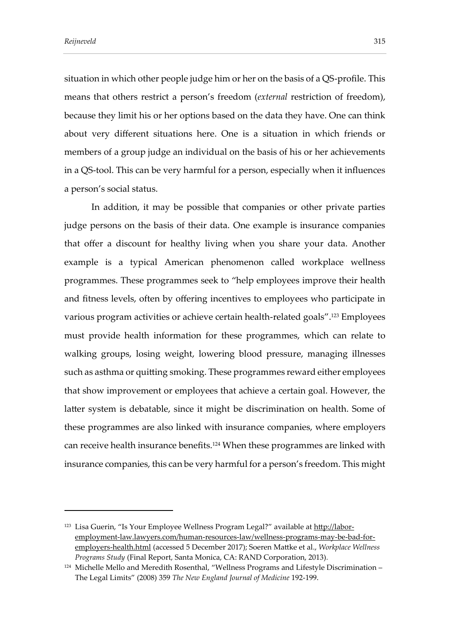situation in which other people judge him or her on the basis of a QS-profile. This means that others restrict a person's freedom (*external* restriction of freedom), because they limit his or her options based on the data they have. One can think about very different situations here. One is a situation in which friends or members of a group judge an individual on the basis of his or her achievements in a QS-tool. This can be very harmful for a person, especially when it influences a person's social status.

In addition, it may be possible that companies or other private parties judge persons on the basis of their data. One example is insurance companies that offer a discount for healthy living when you share your data. Another example is a typical American phenomenon called workplace wellness programmes. These programmes seek to "help employees improve their health and fitness levels, often by offering incentives to employees who participate in various program activities or achieve certain health-related goals". <sup>123</sup> Employees must provide health information for these programmes, which can relate to walking groups, losing weight, lowering blood pressure, managing illnesses such as asthma or quitting smoking. These programmes reward either employees that show improvement or employees that achieve a certain goal. However, the latter system is debatable, since it might be discrimination on health. Some of these programmes are also linked with insurance companies, where employers can receive health insurance benefits.<sup>124</sup> When these programmes are linked with insurance companies, this can be very harmful for a person's freedom. This might

<sup>&</sup>lt;sup>123</sup> Lisa Guerin, "Is Your Employee Wellness Program Legal?" available at [http://labor](http://labor-employment-law.lawyers.com/human-resources-law/wellness-programs-may-be-bad-for-employers-health.html)[employment-law.lawyers.com/human-resources-law/wellness-programs-may-be-bad-for](http://labor-employment-law.lawyers.com/human-resources-law/wellness-programs-may-be-bad-for-employers-health.html)[employers-health.html](http://labor-employment-law.lawyers.com/human-resources-law/wellness-programs-may-be-bad-for-employers-health.html) (accessed 5 December 2017); Soeren Mattke et al., *Workplace Wellness Programs Study* (Final Report, Santa Monica, CA: RAND Corporation, 2013)*.*

 $124$  Michelle Mello and Meredith Rosenthal, "Wellness Programs and Lifestyle Discrimination – The Legal Limits" (2008) 359 *The New England Journal of Medicine* 192-199.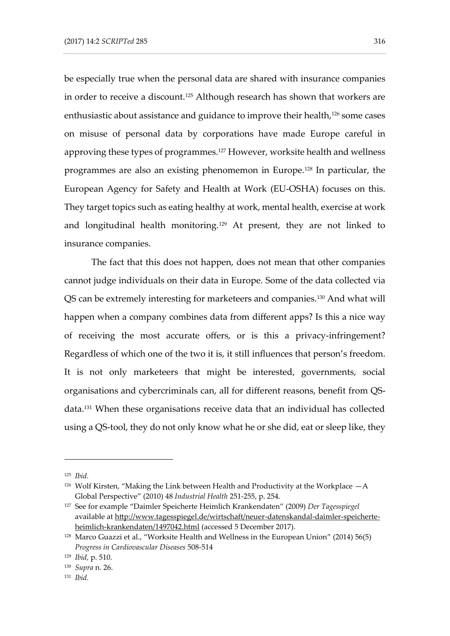be especially true when the personal data are shared with insurance companies in order to receive a discount.<sup>125</sup> Although research has shown that workers are enthusiastic about assistance and guidance to improve their health,<sup>126</sup> some cases on misuse of personal data by corporations have made Europe careful in approving these types of programmes.<sup>127</sup> However, worksite health and wellness programmes are also an existing phenomemon in Europe.<sup>128</sup> In particular, the European Agency for Safety and Health at Work (EU-OSHA) focuses on this. They target topics such as eating healthy at work, mental health, exercise at work and longitudinal health monitoring.<sup>129</sup> At present, they are not linked to insurance companies.

The fact that this does not happen, does not mean that other companies cannot judge individuals on their data in Europe. Some of the data collected via QS can be extremely interesting for marketeers and companies.<sup>130</sup> And what will happen when a company combines data from different apps? Is this a nice way of receiving the most accurate offers, or is this a privacy-infringement? Regardless of which one of the two it is, it still influences that person's freedom. It is not only marketeers that might be interested, governments, social organisations and cybercriminals can, all for different reasons, benefit from QSdata.<sup>131</sup> When these organisations receive data that an individual has collected using a QS-tool, they do not only know what he or she did, eat or sleep like, they

<sup>125</sup> *Ibid.*

<sup>&</sup>lt;sup>126</sup> Wolf Kirsten, "Making the Link between Health and Productivity at the Workplace  $-A$ Global Perspective" (2010) 48 *Industrial Health* 251-255, p. 254.

<sup>127</sup> See for example "Daimler Speicherte Heimlich Krankendaten" (2009) *Der Tagesspiegel*  available at [http://www.tagesspiegel.de/wirtschaft/neuer-datenskandal-daimler-speicherte](http://www.tagesspiegel.de/wirtschaft/neuer-datenskandal-daimler-speicherte-heimlich-krankendaten/1497042.html)[heimlich-krankendaten/1497042.html](http://www.tagesspiegel.de/wirtschaft/neuer-datenskandal-daimler-speicherte-heimlich-krankendaten/1497042.html) (accessed 5 December 2017).

<sup>128</sup> Marco Guazzi et al., "Worksite Health and Wellness in the European Union" (2014) 56(5) *Progress in Cardiovascular Diseases* 508-514

<sup>129</sup> *Ibid,* p. 510.

<sup>130</sup> *Supra* n. 26.

<sup>131</sup> *Ibid.*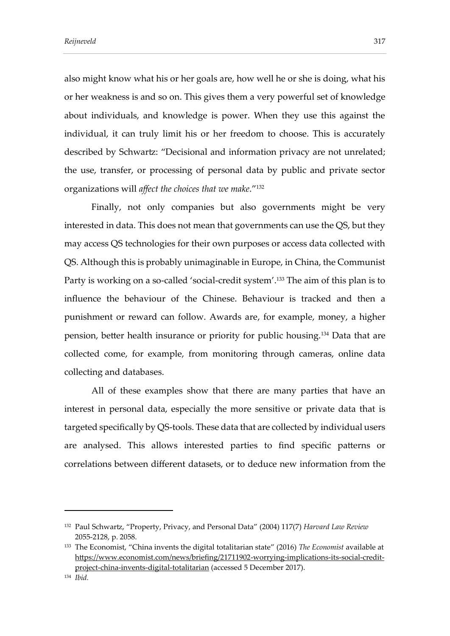also might know what his or her goals are, how well he or she is doing, what his or her weakness is and so on. This gives them a very powerful set of knowledge about individuals, and knowledge is power. When they use this against the individual, it can truly limit his or her freedom to choose. This is accurately described by Schwartz: "Decisional and information privacy are not unrelated; the use, transfer, or processing of personal data by public and private sector organizations will *affect the choices that we make*."<sup>132</sup>

Finally, not only companies but also governments might be very interested in data. This does not mean that governments can use the QS, but they may access QS technologies for their own purposes or access data collected with QS. Although this is probably unimaginable in Europe, in China, the Communist Party is working on a so-called 'social-credit system'.<sup>133</sup> The aim of this plan is to influence the behaviour of the Chinese. Behaviour is tracked and then a punishment or reward can follow. Awards are, for example, money, a higher pension, better health insurance or priority for public housing.<sup>134</sup> Data that are collected come, for example, from monitoring through cameras, online data collecting and databases.

All of these examples show that there are many parties that have an interest in personal data, especially the more sensitive or private data that is targeted specifically by QS-tools. These data that are collected by individual users are analysed. This allows interested parties to find specific patterns or correlations between different datasets, or to deduce new information from the

<sup>132</sup> Paul Schwartz, "Property, Privacy, and Personal Data" (2004) 117(7) *Harvard Law Review*  2055-2128, p. 2058.

<sup>133</sup> The Economist, "China invents the digital totalitarian state" (2016) *The Economist* available at [https://www.economist.com/news/briefing/21711902-worrying-implications-its-social-credit](https://www.economist.com/news/briefing/21711902-worrying-implications-its-social-credit-project-china-invents-digital-totalitarian)[project-china-invents-digital-totalitarian](https://www.economist.com/news/briefing/21711902-worrying-implications-its-social-credit-project-china-invents-digital-totalitarian) (accessed 5 December 2017).

<sup>134</sup> *Ibid.*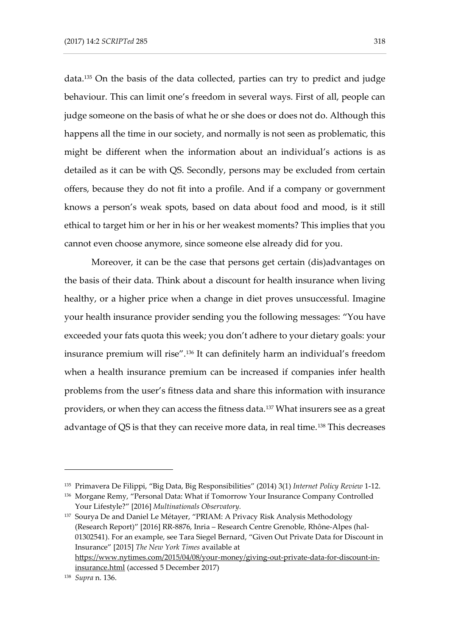data.<sup>135</sup> On the basis of the data collected, parties can try to predict and judge behaviour. This can limit one's freedom in several ways. First of all, people can judge someone on the basis of what he or she does or does not do. Although this happens all the time in our society, and normally is not seen as problematic, this might be different when the information about an individual's actions is as detailed as it can be with QS. Secondly, persons may be excluded from certain offers, because they do not fit into a profile. And if a company or government knows a person's weak spots, based on data about food and mood, is it still ethical to target him or her in his or her weakest moments? This implies that you cannot even choose anymore, since someone else already did for you.

Moreover, it can be the case that persons get certain (dis)advantages on the basis of their data. Think about a discount for health insurance when living healthy, or a higher price when a change in diet proves unsuccessful. Imagine your health insurance provider sending you the following messages: "You have exceeded your fats quota this week; you don't adhere to your dietary goals: your insurance premium will rise". <sup>136</sup> It can definitely harm an individual's freedom when a health insurance premium can be increased if companies infer health problems from the user's fitness data and share this information with insurance providers, or when they can access the fitness data.<sup>137</sup> What insurers see as a great advantage of QS is that they can receive more data, in real time.<sup>138</sup> This decreases

<sup>135</sup> Primavera De Filippi, "Big Data, Big Responsibilities" (2014) 3(1) *Internet Policy Review* 1-12.

<sup>136</sup> Morgane Remy, "Personal Data: What if Tomorrow Your Insurance Company Controlled Your Lifestyle?" [2016] *Multinationals Observatory.*

<sup>137</sup> Sourya De and Daniel Le Métayer, "PRIAM: A Privacy Risk Analysis Methodology (Research Report)" [2016] RR-8876, Inria – Research Centre Grenoble, Rhône-Alpes (hal-01302541). For an example, see Tara Siegel Bernard, "Given Out Private Data for Discount in Insurance" [2015] *The New York Times* available at [https://www.nytimes.com/2015/04/08/your-money/giving-out-private-data-for-discount-in](https://www.nytimes.com/2015/04/08/your-money/giving-out-private-data-for-discount-in-insurance.html)[insurance.html](https://www.nytimes.com/2015/04/08/your-money/giving-out-private-data-for-discount-in-insurance.html) (accessed 5 December 2017)

<sup>138</sup> *Supra* n. 136.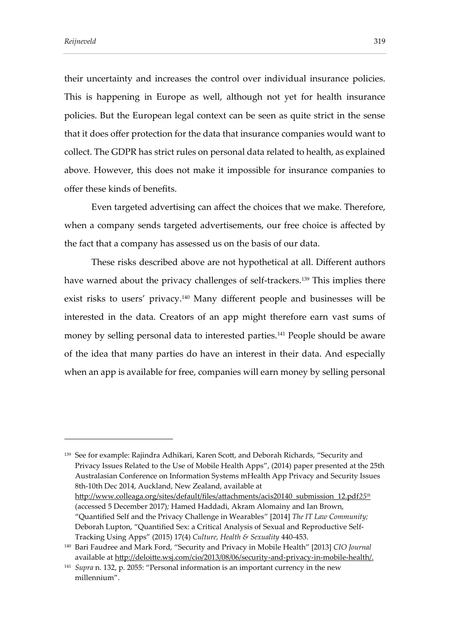their uncertainty and increases the control over individual insurance policies. This is happening in Europe as well, although not yet for health insurance policies. But the European legal context can be seen as quite strict in the sense that it does offer protection for the data that insurance companies would want to collect. The GDPR has strict rules on personal data related to health, as explained above. However, this does not make it impossible for insurance companies to offer these kinds of benefits.

Even targeted advertising can affect the choices that we make. Therefore, when a company sends targeted advertisements, our free choice is affected by the fact that a company has assessed us on the basis of our data.

These risks described above are not hypothetical at all. Different authors have warned about the privacy challenges of self-trackers.<sup>139</sup> This implies there exist risks to users' privacy.<sup>140</sup> Many different people and businesses will be interested in the data. Creators of an app might therefore earn vast sums of money by selling personal data to interested parties.<sup>141</sup> People should be aware of the idea that many parties do have an interest in their data. And especially when an app is available for free, companies will earn money by selling personal

<sup>139</sup> See for example: Rajindra Adhikari, Karen Scott, and Deborah Richards, "Security and Privacy Issues Related to the Use of Mobile Health Apps", (2014) paper presented at the 25th Australasian Conference on Information Systems mHealth App Privacy and Security Issues 8th-10th Dec 2014, Auckland, New Zealand, available at http://www.colleaga.org/sites/default/files/attachments/acis20140\_submission\_12.pdf*25th* (accessed 5 December 2017)*;* Hamed Haddadi, Akram Alomainy and Ian Brown, "Quantified Self and the Privacy Challenge in Wearables" [2014] *The IT Law Community;*  Deborah Lupton, "Quantified Sex: a Critical Analysis of Sexual and Reproductive Self-Tracking Using Apps" (2015) 17(4) *Culture, Health & Sexuality* 440-453.

<sup>140</sup> Bari Faudree and Mark Ford, "Security and Privacy in Mobile Health" [2013] *CIO Journal*  available at http://deloitte.wsj.com/cio/2013/08/06/security-and-privacy-in-mobile-health/.

<sup>141</sup> *Supra* n. 132, p. 2055: "Personal information is an important currency in the new millennium".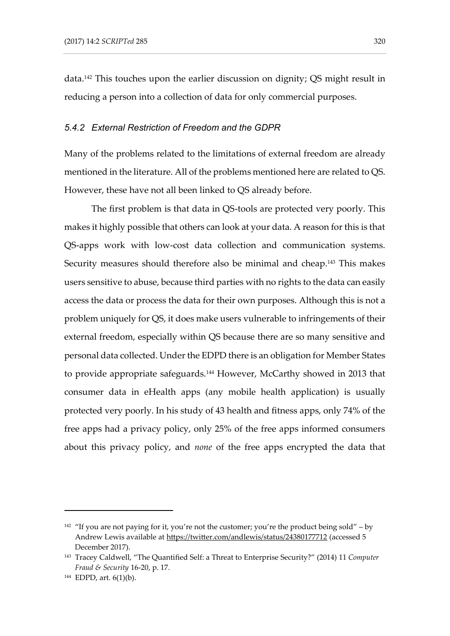data.<sup>142</sup> This touches upon the earlier discussion on dignity; QS might result in reducing a person into a collection of data for only commercial purposes.

#### *5.4.2 External Restriction of Freedom and the GDPR*

Many of the problems related to the limitations of external freedom are already mentioned in the literature. All of the problems mentioned here are related to QS. However, these have not all been linked to QS already before.

The first problem is that data in QS-tools are protected very poorly. This makes it highly possible that others can look at your data. A reason for this is that QS-apps work with low-cost data collection and communication systems. Security measures should therefore also be minimal and cheap.<sup>143</sup> This makes users sensitive to abuse, because third parties with no rights to the data can easily access the data or process the data for their own purposes. Although this is not a problem uniquely for QS, it does make users vulnerable to infringements of their external freedom, especially within QS because there are so many sensitive and personal data collected. Under the EDPD there is an obligation for Member States to provide appropriate safeguards.<sup>144</sup> However, McCarthy showed in 2013 that consumer data in eHealth apps (any mobile health application) is usually protected very poorly. In his study of 43 health and fitness apps, only 74% of the free apps had a privacy policy, only 25% of the free apps informed consumers about this privacy policy, and *none* of the free apps encrypted the data that

<sup>&</sup>lt;sup>142</sup> "If you are not paying for it, you're not the customer; you're the product being sold" – by Andrew Lewis available at<https://twitter.com/andlewis/status/24380177712> (accessed 5 December 2017).

<sup>143</sup> Tracey Caldwell, "The Quantified Self: a Threat to Enterprise Security?" (2014) 11 *Computer Fraud & Security* 16-20, p. 17.

<sup>144</sup> EDPD, art. 6(1)(b).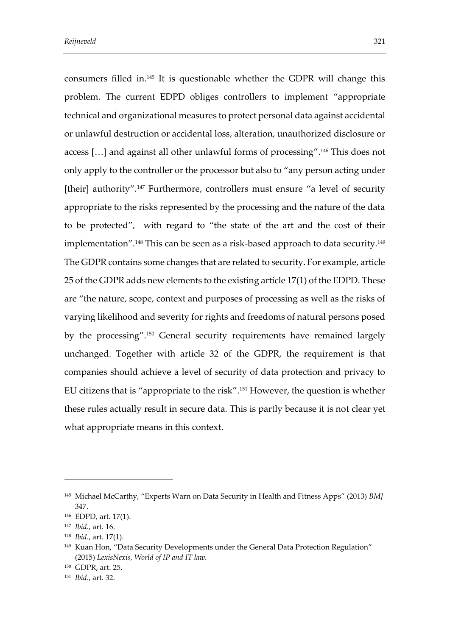consumers filled in.<sup>145</sup> It is questionable whether the GDPR will change this problem. The current EDPD obliges controllers to implement "appropriate technical and organizational measures to protect personal data against accidental or unlawful destruction or accidental loss, alteration, unauthorized disclosure or access […] and against all other unlawful forms of processing".<sup>146</sup> This does not only apply to the controller or the processor but also to "any person acting under [their] authority".<sup>147</sup> Furthermore, controllers must ensure "a level of security appropriate to the risks represented by the processing and the nature of the data to be protected", with regard to "the state of the art and the cost of their implementation".<sup>148</sup> This can be seen as a risk-based approach to data security.<sup>149</sup> The GDPR contains some changes that are related to security. For example, article 25 of the GDPR adds new elements to the existing article 17(1) of the EDPD. These are "the nature, scope, context and purposes of processing as well as the risks of varying likelihood and severity for rights and freedoms of natural persons posed by the processing".<sup>150</sup> General security requirements have remained largely unchanged. Together with article 32 of the GDPR, the requirement is that companies should achieve a level of security of data protection and privacy to EU citizens that is "appropriate to the risk".<sup>151</sup> However, the question is whether these rules actually result in secure data. This is partly because it is not clear yet what appropriate means in this context.

<sup>145</sup> Michael McCarthy, "Experts Warn on Data Security in Health and Fitness Apps" (2013) *BMJ* 347.

<sup>146</sup> EDPD, art. 17(1).

<sup>147</sup> *Ibid*., art. 16.

<sup>148</sup> *Ibid*., art. 17(1).

<sup>&</sup>lt;sup>149</sup> Kuan Hon, "Data Security Developments under the General Data Protection Regulation" (2015) *LexisNexis, World of IP and IT law.*

<sup>150</sup> GDPR, art. 25.

<sup>151</sup> *Ibid*., art. 32.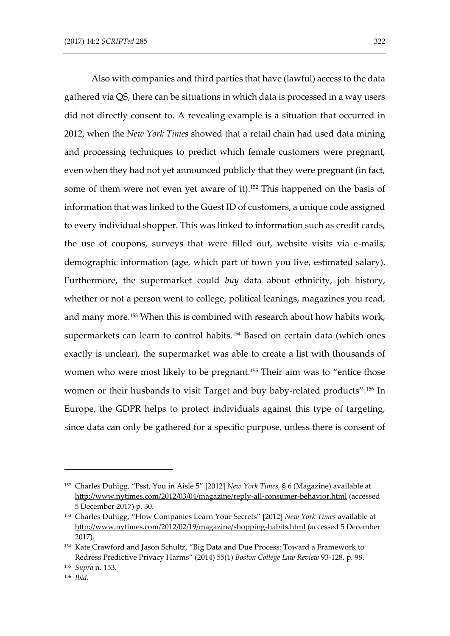Also with companies and third parties that have (lawful) access to the data gathered via QS, there can be situations in which data is processed in a way users did not directly consent to. A revealing example is a situation that occurred in 2012, when the *New York Times* showed that a retail chain had used data mining and processing techniques to predict which female customers were pregnant, even when they had not yet announced publicly that they were pregnant (in fact, some of them were not even yet aware of it).<sup>152</sup> This happened on the basis of information that was linked to the Guest ID of customers, a unique code assigned to every individual shopper. This was linked to information such as credit cards, the use of coupons, surveys that were filled out, website visits via e-mails, demographic information (age, which part of town you live, estimated salary). Furthermore, the supermarket could *buy* data about ethnicity, job history, whether or not a person went to college, political leanings, magazines you read, and many more.<sup>153</sup> When this is combined with research about how habits work, supermarkets can learn to control habits.<sup>154</sup> Based on certain data (which ones exactly is unclear), the supermarket was able to create a list with thousands of women who were most likely to be pregnant.<sup>155</sup> Their aim was to "entice those women or their husbands to visit Target and buy baby-related products".<sup>156</sup> In Europe, the GDPR helps to protect individuals against this type of targeting, since data can only be gathered for a specific purpose, unless there is consent of

<sup>152</sup> Charles Duhigg, "Psst, You in Aisle 5" [2012] *New York Times*, § 6 (Magazine) available at <http://www.nytimes.com/2012/03/04/magazine/reply-all-consumer-behavior.html> (accessed 5 December 2017) p. 30.

<sup>153</sup> Charles Duhigg, "How Companies Learn Your Secrets" [2012] *New York Times* available at <http://www.nytimes.com/2012/02/19/magazine/shopping-habits.html> (accessed 5 December 2017).

<sup>154</sup> Kate Crawford and Jason Schultz, "Big Data and Due Process: Toward a Framework to Redress Predictive Privacy Harms" (2014) 55(1) *Boston College Law Review* 93-128, p. 98.

<sup>155</sup> *Supra* n. 153.

<sup>156</sup> *Ibid.*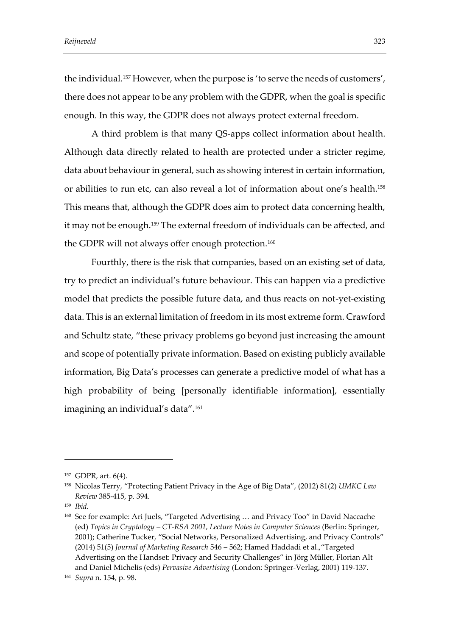the individual.<sup>157</sup> However, when the purpose is 'to serve the needs of customers', there does not appear to be any problem with the GDPR, when the goal is specific enough. In this way, the GDPR does not always protect external freedom.

A third problem is that many QS-apps collect information about health. Although data directly related to health are protected under a stricter regime, data about behaviour in general, such as showing interest in certain information, or abilities to run etc, can also reveal a lot of information about one's health.<sup>158</sup> This means that, although the GDPR does aim to protect data concerning health, it may not be enough.<sup>159</sup> The external freedom of individuals can be affected, and the GDPR will not always offer enough protection.<sup>160</sup>

Fourthly, there is the risk that companies, based on an existing set of data, try to predict an individual's future behaviour. This can happen via a predictive model that predicts the possible future data, and thus reacts on not-yet-existing data. This is an external limitation of freedom in its most extreme form. Crawford and Schultz state, "these privacy problems go beyond just increasing the amount and scope of potentially private information. Based on existing publicly available information, Big Data's processes can generate a predictive model of what has a high probability of being [personally identifiable information], essentially imagining an individual's data". 161

<sup>157</sup> GDPR, art. 6(4).

<sup>158</sup> Nicolas Terry, "Protecting Patient Privacy in the Age of Big Data", (2012) 81(2) *UMKC Law Review* 385-415, p. 394.

<sup>159</sup> *Ibid.* 

<sup>160</sup> See for example: Ari Juels, "Targeted Advertising … and Privacy Too" in David Naccache (ed) *Topics in Cryptology – CT-RSA 2001, Lecture Notes in Computer Sciences* (Berlin: Springer, 2001); Catherine Tucker, "Social Networks, Personalized Advertising, and Privacy Controls" (2014) 51(5) *Journal of Marketing Research* 546 – 562; Hamed Haddadi et al.,"Targeted Advertising on the Handset: Privacy and Security Challenges" in Jörg Müller, Florian Alt and Daniel Michelis (eds) *Pervasive Advertising* (London: Springer-Verlag, 2001) 119-137.

<sup>161</sup> *Supra* n. 154, p. 98.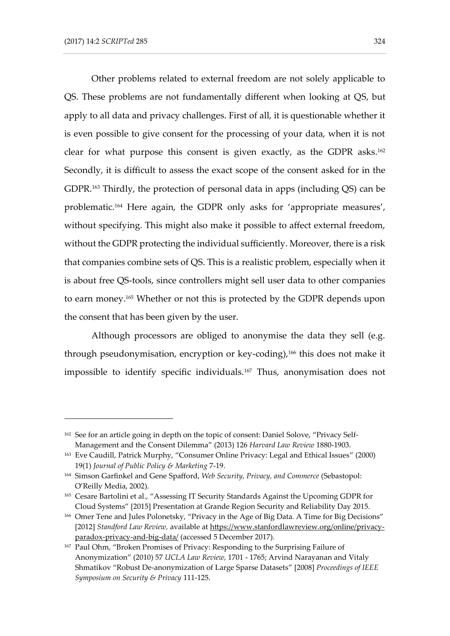Other problems related to external freedom are not solely applicable to QS. These problems are not fundamentally different when looking at QS, but apply to all data and privacy challenges. First of all, it is questionable whether it is even possible to give consent for the processing of your data, when it is not clear for what purpose this consent is given exactly, as the GDPR asks. 162 Secondly, it is difficult to assess the exact scope of the consent asked for in the GDPR. <sup>163</sup> Thirdly, the protection of personal data in apps (including QS) can be problematic.<sup>164</sup> Here again, the GDPR only asks for 'appropriate measures', without specifying. This might also make it possible to affect external freedom, without the GDPR protecting the individual sufficiently. Moreover, there is a risk that companies combine sets of QS. This is a realistic problem, especially when it is about free QS-tools, since controllers might sell user data to other companies to earn money.<sup>165</sup> Whether or not this is protected by the GDPR depends upon the consent that has been given by the user.

Although processors are obliged to anonymise the data they sell (e.g. through pseudonymisation, encryption or key-coding),<sup>166</sup> this does not make it impossible to identify specific individuals.<sup>167</sup> Thus, anonymisation does not

<sup>&</sup>lt;sup>162</sup> See for an article going in depth on the topic of consent: Daniel Solove, "Privacy Self-Management and the Consent Dilemma" (2013) 126 *Harvard Law Review* 1880-1903.

<sup>163</sup> Eve Caudill, Patrick Murphy, "Consumer Online Privacy: Legal and Ethical Issues" (2000) 19(1) *Journal of Public Policy & Marketing* 7-19.

<sup>164</sup> Simson Garfinkel and Gene Spafford, *Web Security, Privacy, and Commerce* (Sebastopol: O'Reilly Media, 2002).

<sup>165</sup> Cesare Bartolini et al., "Assessing IT Security Standards Against the Upcoming GDPR for Cloud Systems" [2015] Presentation at Grande Region Security and Reliability Day 2015.

<sup>&</sup>lt;sup>166</sup> Omer Tene and Jules Polonetsky, "Privacy in the Age of Big Data. A Time for Big Decisions" [2012] *Standford Law Review,* available at [https://www.stanfordlawreview.org/online/privacy](https://www.stanfordlawreview.org/online/privacy-paradox-privacy-and-big-data/)[paradox-privacy-and-big-data/](https://www.stanfordlawreview.org/online/privacy-paradox-privacy-and-big-data/) (accessed 5 December 2017).

<sup>167</sup> Paul Ohm, "Broken Promises of Privacy: Responding to the Surprising Failure of Anonymization" (2010) 57 *UCLA Law Review,* 1701 - 1765; Arvind Narayanan and Vitaly Shmatikov "Robust De-anonymization of Large Sparse Datasets" [2008] *Proceedings of IEEE Symposium on Security & Privacy* 111-125.